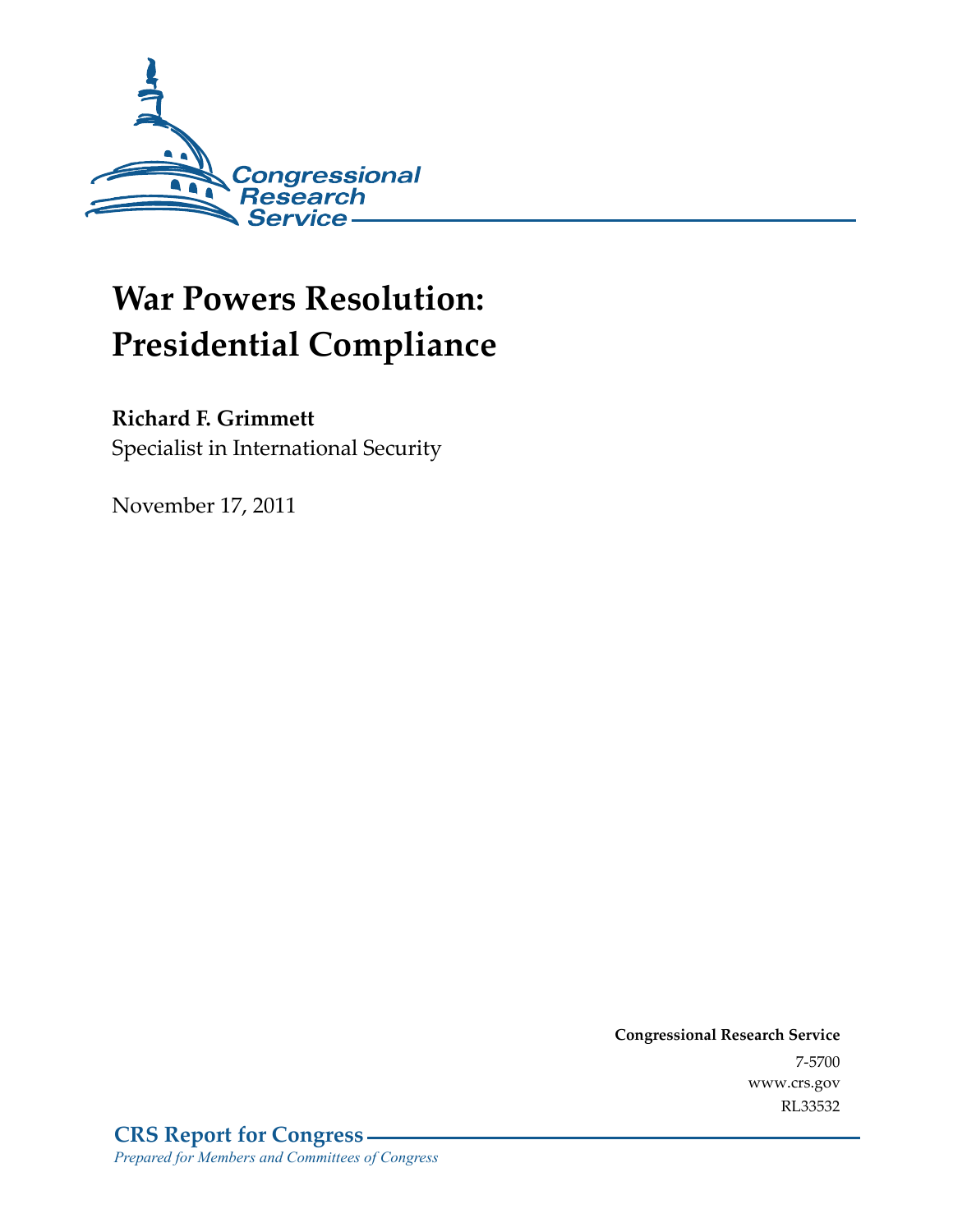

# **War Powers Resolution: Presidential Compliance**

#### **Richard F. Grimmett**

Specialist in International Security

November 17, 2011

**Congressional Research Service**  7-5700 www.crs.gov RL33532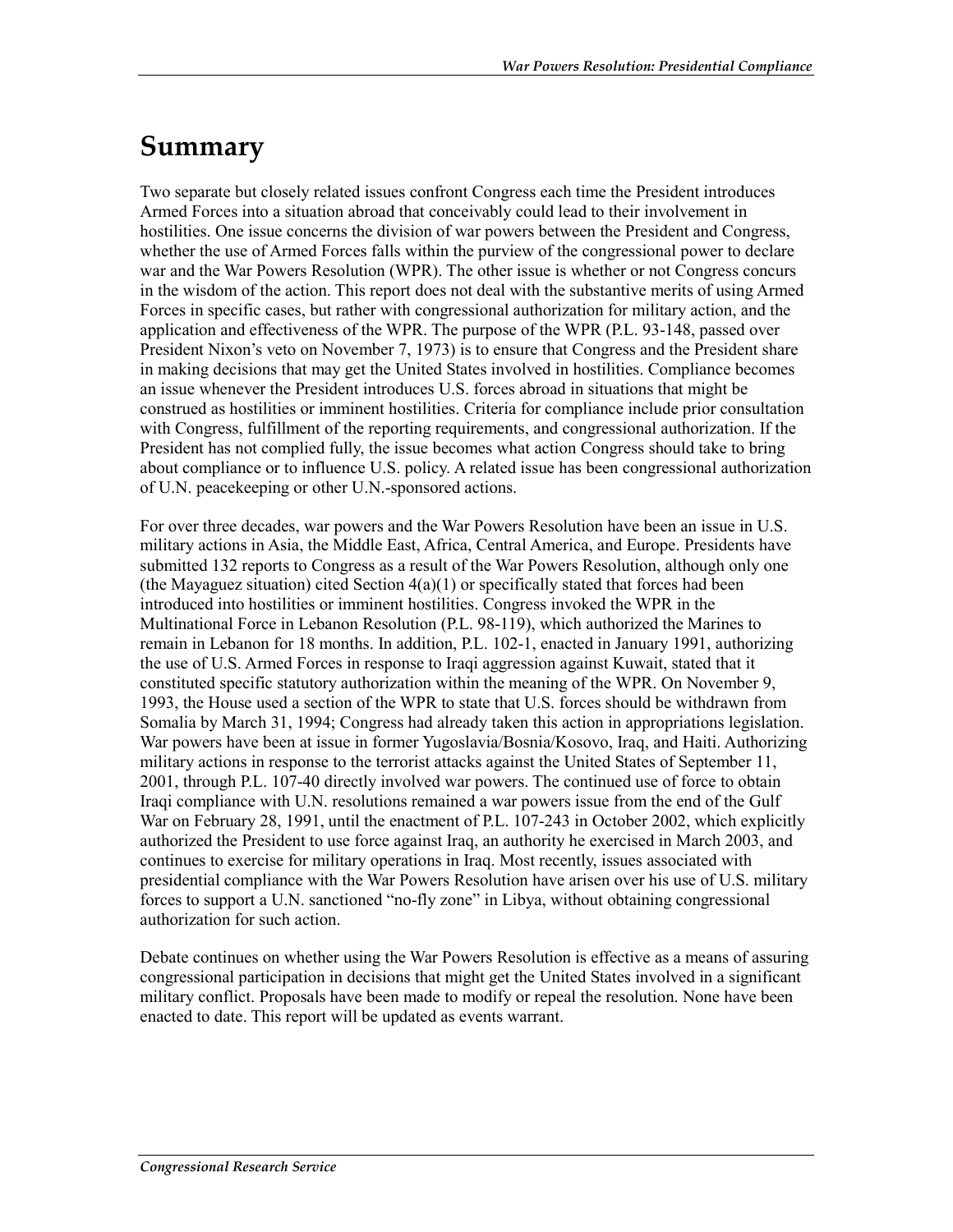#### **Summary**

Two separate but closely related issues confront Congress each time the President introduces Armed Forces into a situation abroad that conceivably could lead to their involvement in hostilities. One issue concerns the division of war powers between the President and Congress, whether the use of Armed Forces falls within the purview of the congressional power to declare war and the War Powers Resolution (WPR). The other issue is whether or not Congress concurs in the wisdom of the action. This report does not deal with the substantive merits of using Armed Forces in specific cases, but rather with congressional authorization for military action, and the application and effectiveness of the WPR. The purpose of the WPR (P.L. 93-148, passed over President Nixon's veto on November 7, 1973) is to ensure that Congress and the President share in making decisions that may get the United States involved in hostilities. Compliance becomes an issue whenever the President introduces U.S. forces abroad in situations that might be construed as hostilities or imminent hostilities. Criteria for compliance include prior consultation with Congress, fulfillment of the reporting requirements, and congressional authorization. If the President has not complied fully, the issue becomes what action Congress should take to bring about compliance or to influence U.S. policy. A related issue has been congressional authorization of U.N. peacekeeping or other U.N.-sponsored actions.

For over three decades, war powers and the War Powers Resolution have been an issue in U.S. military actions in Asia, the Middle East, Africa, Central America, and Europe. Presidents have submitted 132 reports to Congress as a result of the War Powers Resolution, although only one (the Mayaguez situation) cited Section  $4(a)(1)$  or specifically stated that forces had been introduced into hostilities or imminent hostilities. Congress invoked the WPR in the Multinational Force in Lebanon Resolution (P.L. 98-119), which authorized the Marines to remain in Lebanon for 18 months. In addition, P.L. 102-1, enacted in January 1991, authorizing the use of U.S. Armed Forces in response to Iraqi aggression against Kuwait, stated that it constituted specific statutory authorization within the meaning of the WPR. On November 9, 1993, the House used a section of the WPR to state that U.S. forces should be withdrawn from Somalia by March 31, 1994; Congress had already taken this action in appropriations legislation. War powers have been at issue in former Yugoslavia/Bosnia/Kosovo, Iraq, and Haiti. Authorizing military actions in response to the terrorist attacks against the United States of September 11, 2001, through P.L. 107-40 directly involved war powers. The continued use of force to obtain Iraqi compliance with U.N. resolutions remained a war powers issue from the end of the Gulf War on February 28, 1991, until the enactment of P.L. 107-243 in October 2002, which explicitly authorized the President to use force against Iraq, an authority he exercised in March 2003, and continues to exercise for military operations in Iraq. Most recently, issues associated with presidential compliance with the War Powers Resolution have arisen over his use of U.S. military forces to support a U.N. sanctioned "no-fly zone" in Libya, without obtaining congressional authorization for such action.

Debate continues on whether using the War Powers Resolution is effective as a means of assuring congressional participation in decisions that might get the United States involved in a significant military conflict. Proposals have been made to modify or repeal the resolution. None have been enacted to date. This report will be updated as events warrant.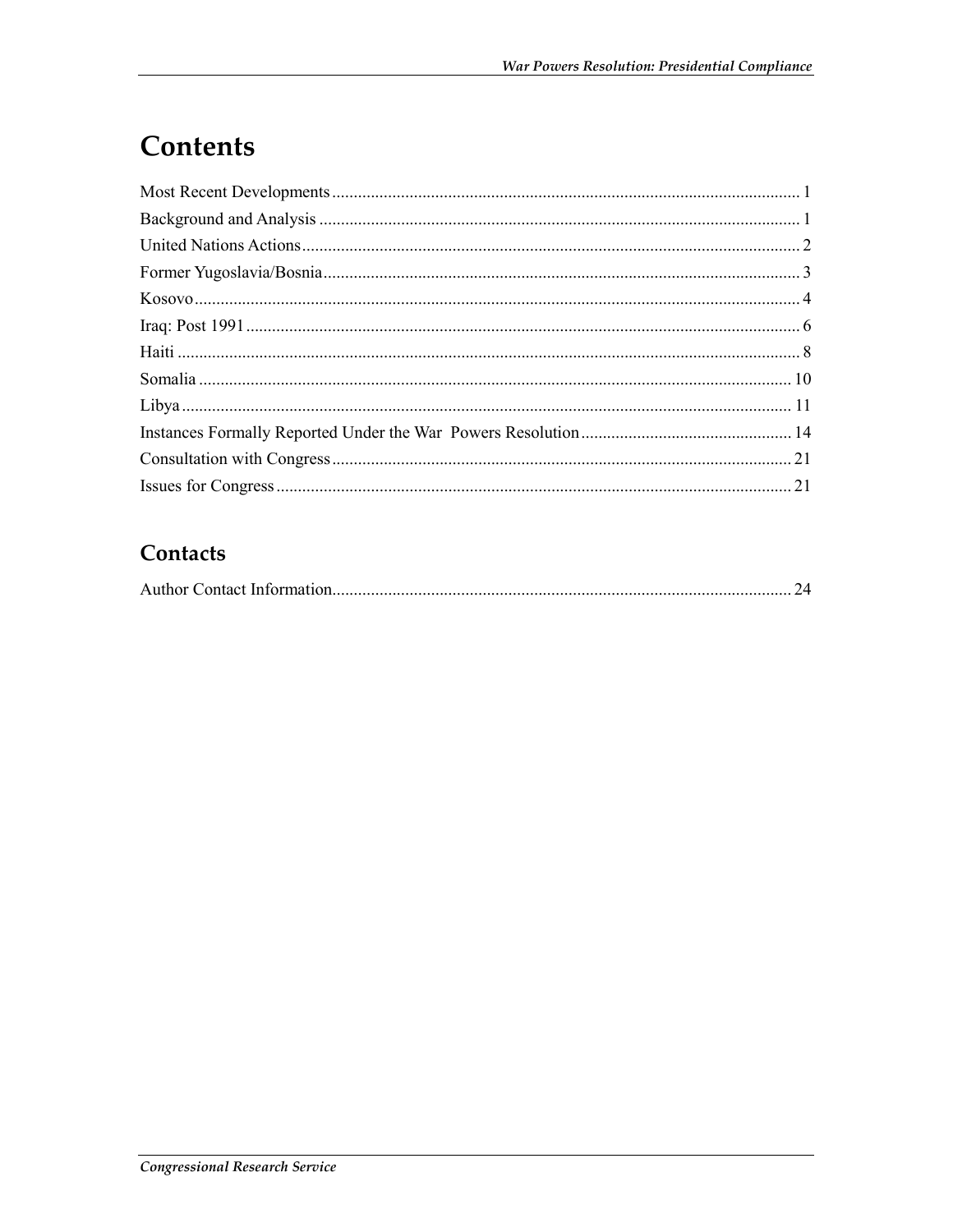## Contents

#### Contacts

|--|--|--|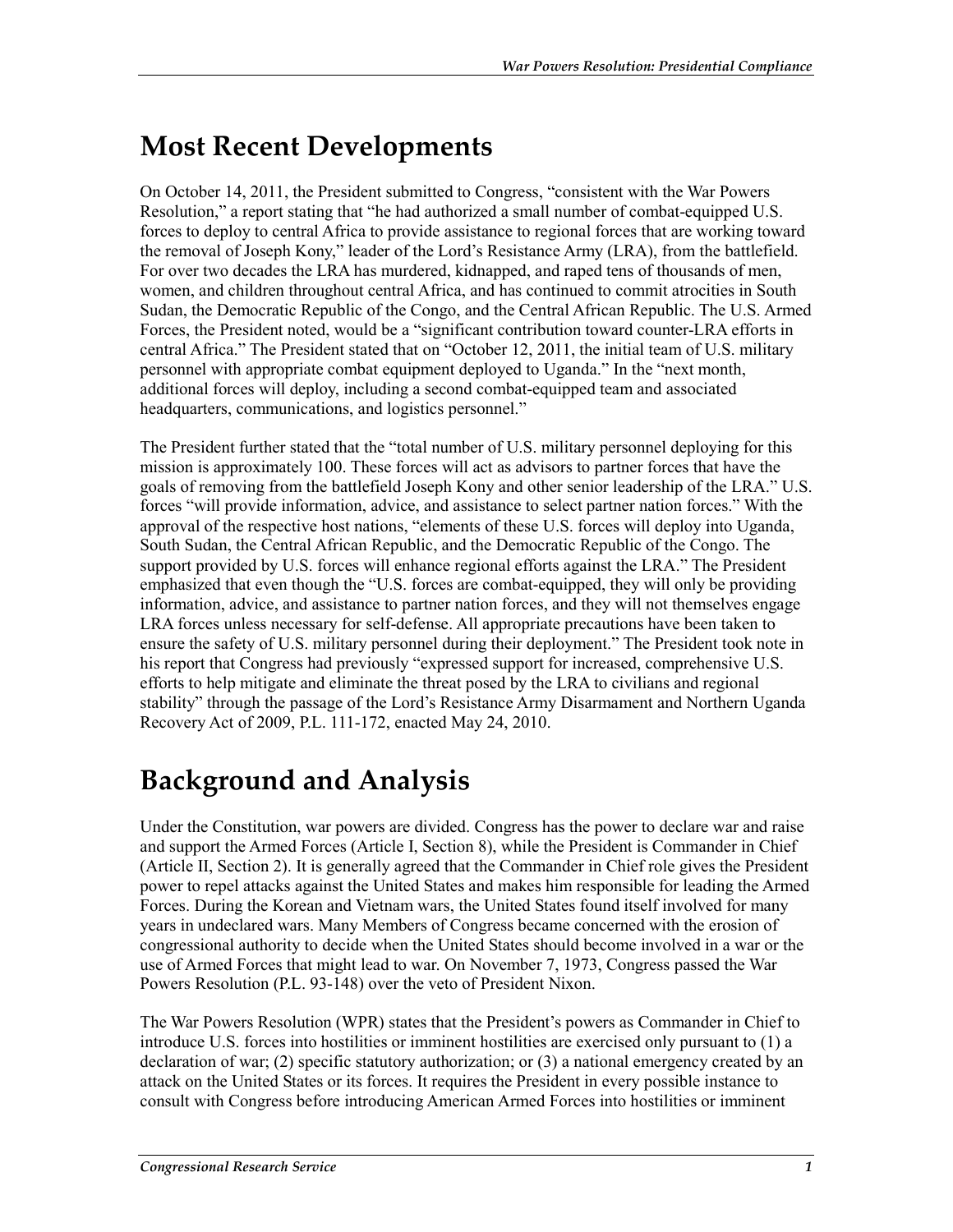#### **Most Recent Developments**

On October 14, 2011, the President submitted to Congress, "consistent with the War Powers Resolution," a report stating that "he had authorized a small number of combat-equipped U.S. forces to deploy to central Africa to provide assistance to regional forces that are working toward the removal of Joseph Kony," leader of the Lord's Resistance Army (LRA), from the battlefield. For over two decades the LRA has murdered, kidnapped, and raped tens of thousands of men, women, and children throughout central Africa, and has continued to commit atrocities in South Sudan, the Democratic Republic of the Congo, and the Central African Republic. The U.S. Armed Forces, the President noted, would be a "significant contribution toward counter-LRA efforts in central Africa." The President stated that on "October 12, 2011, the initial team of U.S. military personnel with appropriate combat equipment deployed to Uganda." In the "next month, additional forces will deploy, including a second combat-equipped team and associated headquarters, communications, and logistics personnel."

The President further stated that the "total number of U.S. military personnel deploying for this mission is approximately 100. These forces will act as advisors to partner forces that have the goals of removing from the battlefield Joseph Kony and other senior leadership of the LRA." U.S. forces "will provide information, advice, and assistance to select partner nation forces." With the approval of the respective host nations, "elements of these U.S. forces will deploy into Uganda, South Sudan, the Central African Republic, and the Democratic Republic of the Congo. The support provided by U.S. forces will enhance regional efforts against the LRA." The President emphasized that even though the "U.S. forces are combat-equipped, they will only be providing information, advice, and assistance to partner nation forces, and they will not themselves engage LRA forces unless necessary for self-defense. All appropriate precautions have been taken to ensure the safety of U.S. military personnel during their deployment." The President took note in his report that Congress had previously "expressed support for increased, comprehensive U.S. efforts to help mitigate and eliminate the threat posed by the LRA to civilians and regional stability" through the passage of the Lord's Resistance Army Disarmament and Northern Uganda Recovery Act of 2009, P.L. 111-172, enacted May 24, 2010.

### **Background and Analysis**

Under the Constitution, war powers are divided. Congress has the power to declare war and raise and support the Armed Forces (Article I, Section 8), while the President is Commander in Chief (Article II, Section 2). It is generally agreed that the Commander in Chief role gives the President power to repel attacks against the United States and makes him responsible for leading the Armed Forces. During the Korean and Vietnam wars, the United States found itself involved for many years in undeclared wars. Many Members of Congress became concerned with the erosion of congressional authority to decide when the United States should become involved in a war or the use of Armed Forces that might lead to war. On November 7, 1973, Congress passed the War Powers Resolution (P.L. 93-148) over the veto of President Nixon.

The War Powers Resolution (WPR) states that the President's powers as Commander in Chief to introduce U.S. forces into hostilities or imminent hostilities are exercised only pursuant to (1) a declaration of war; (2) specific statutory authorization; or (3) a national emergency created by an attack on the United States or its forces. It requires the President in every possible instance to consult with Congress before introducing American Armed Forces into hostilities or imminent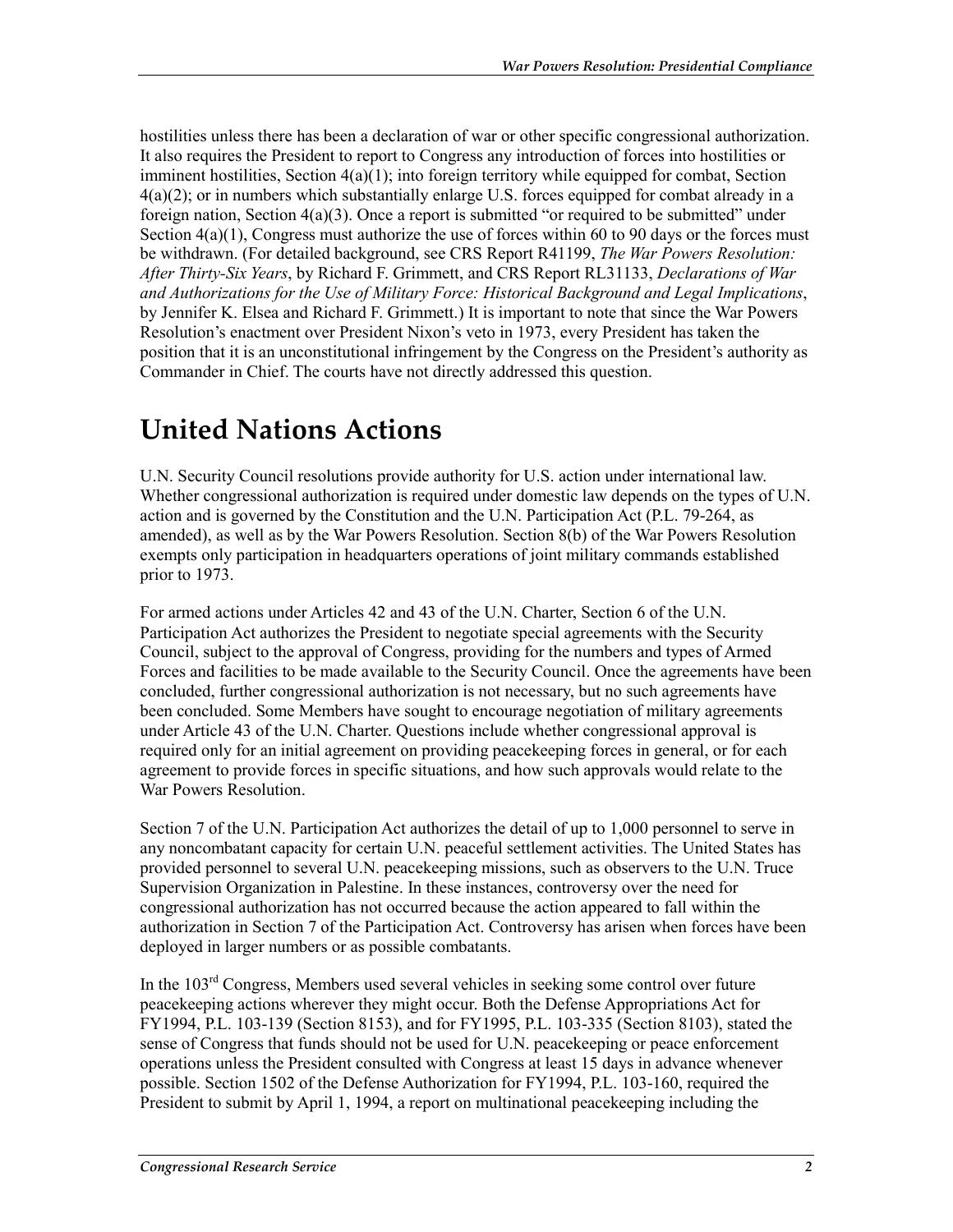hostilities unless there has been a declaration of war or other specific congressional authorization. It also requires the President to report to Congress any introduction of forces into hostilities or imminent hostilities, Section  $4(a)(1)$ ; into foreign territory while equipped for combat, Section  $4(a)(2)$ ; or in numbers which substantially enlarge U.S. forces equipped for combat already in a foreign nation, Section  $4(a)(3)$ . Once a report is submitted "or required to be submitted" under Section 4(a)(1), Congress must authorize the use of forces within 60 to 90 days or the forces must be withdrawn. (For detailed background, see CRS Report R41199, *The War Powers Resolution: After Thirty-Six Years*, by Richard F. Grimmett, and CRS Report RL31133, *Declarations of War and Authorizations for the Use of Military Force: Historical Background and Legal Implications*, by Jennifer K. Elsea and Richard F. Grimmett.) It is important to note that since the War Powers Resolution's enactment over President Nixon's veto in 1973, every President has taken the position that it is an unconstitutional infringement by the Congress on the President's authority as Commander in Chief. The courts have not directly addressed this question.

### **United Nations Actions**

U.N. Security Council resolutions provide authority for U.S. action under international law. Whether congressional authorization is required under domestic law depends on the types of U.N. action and is governed by the Constitution and the U.N. Participation Act (P.L. 79-264, as amended), as well as by the War Powers Resolution. Section 8(b) of the War Powers Resolution exempts only participation in headquarters operations of joint military commands established prior to 1973.

For armed actions under Articles 42 and 43 of the U.N. Charter, Section 6 of the U.N. Participation Act authorizes the President to negotiate special agreements with the Security Council, subject to the approval of Congress, providing for the numbers and types of Armed Forces and facilities to be made available to the Security Council. Once the agreements have been concluded, further congressional authorization is not necessary, but no such agreements have been concluded. Some Members have sought to encourage negotiation of military agreements under Article 43 of the U.N. Charter. Questions include whether congressional approval is required only for an initial agreement on providing peacekeeping forces in general, or for each agreement to provide forces in specific situations, and how such approvals would relate to the War Powers Resolution.

Section 7 of the U.N. Participation Act authorizes the detail of up to 1,000 personnel to serve in any noncombatant capacity for certain U.N. peaceful settlement activities. The United States has provided personnel to several U.N. peacekeeping missions, such as observers to the U.N. Truce Supervision Organization in Palestine. In these instances, controversy over the need for congressional authorization has not occurred because the action appeared to fall within the authorization in Section 7 of the Participation Act. Controversy has arisen when forces have been deployed in larger numbers or as possible combatants.

In the  $103<sup>rd</sup>$  Congress, Members used several vehicles in seeking some control over future peacekeeping actions wherever they might occur. Both the Defense Appropriations Act for FY1994, P.L. 103-139 (Section 8153), and for FY1995, P.L. 103-335 (Section 8103), stated the sense of Congress that funds should not be used for U.N. peacekeeping or peace enforcement operations unless the President consulted with Congress at least 15 days in advance whenever possible. Section 1502 of the Defense Authorization for FY1994, P.L. 103-160, required the President to submit by April 1, 1994, a report on multinational peacekeeping including the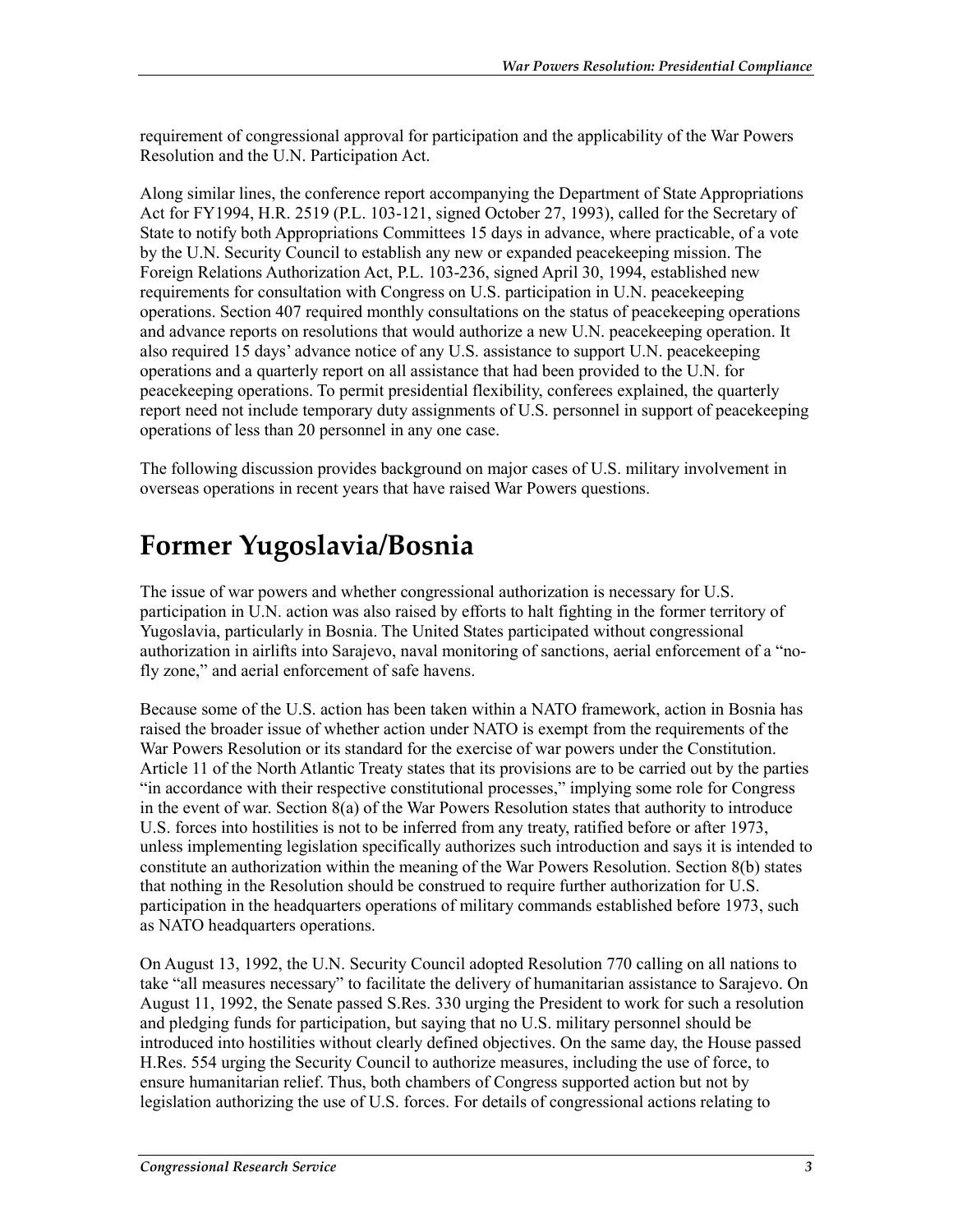requirement of congressional approval for participation and the applicability of the War Powers Resolution and the U.N. Participation Act.

Along similar lines, the conference report accompanying the Department of State Appropriations Act for FY1994, H.R. 2519 (P.L. 103-121, signed October 27, 1993), called for the Secretary of State to notify both Appropriations Committees 15 days in advance, where practicable, of a vote by the U.N. Security Council to establish any new or expanded peacekeeping mission. The Foreign Relations Authorization Act, P.L. 103-236, signed April 30, 1994, established new requirements for consultation with Congress on U.S. participation in U.N. peacekeeping operations. Section 407 required monthly consultations on the status of peacekeeping operations and advance reports on resolutions that would authorize a new U.N. peacekeeping operation. It also required 15 days' advance notice of any U.S. assistance to support U.N. peacekeeping operations and a quarterly report on all assistance that had been provided to the U.N. for peacekeeping operations. To permit presidential flexibility, conferees explained, the quarterly report need not include temporary duty assignments of U.S. personnel in support of peacekeeping operations of less than 20 personnel in any one case.

The following discussion provides background on major cases of U.S. military involvement in overseas operations in recent years that have raised War Powers questions.

#### **Former Yugoslavia/Bosnia**

The issue of war powers and whether congressional authorization is necessary for U.S. participation in U.N. action was also raised by efforts to halt fighting in the former territory of Yugoslavia, particularly in Bosnia. The United States participated without congressional authorization in airlifts into Sarajevo, naval monitoring of sanctions, aerial enforcement of a "nofly zone," and aerial enforcement of safe havens.

Because some of the U.S. action has been taken within a NATO framework, action in Bosnia has raised the broader issue of whether action under NATO is exempt from the requirements of the War Powers Resolution or its standard for the exercise of war powers under the Constitution. Article 11 of the North Atlantic Treaty states that its provisions are to be carried out by the parties "in accordance with their respective constitutional processes," implying some role for Congress in the event of war. Section 8(a) of the War Powers Resolution states that authority to introduce U.S. forces into hostilities is not to be inferred from any treaty, ratified before or after 1973, unless implementing legislation specifically authorizes such introduction and says it is intended to constitute an authorization within the meaning of the War Powers Resolution. Section 8(b) states that nothing in the Resolution should be construed to require further authorization for U.S. participation in the headquarters operations of military commands established before 1973, such as NATO headquarters operations.

On August 13, 1992, the U.N. Security Council adopted Resolution 770 calling on all nations to take "all measures necessary" to facilitate the delivery of humanitarian assistance to Sarajevo. On August 11, 1992, the Senate passed S.Res. 330 urging the President to work for such a resolution and pledging funds for participation, but saying that no U.S. military personnel should be introduced into hostilities without clearly defined objectives. On the same day, the House passed H.Res. 554 urging the Security Council to authorize measures, including the use of force, to ensure humanitarian relief. Thus, both chambers of Congress supported action but not by legislation authorizing the use of U.S. forces. For details of congressional actions relating to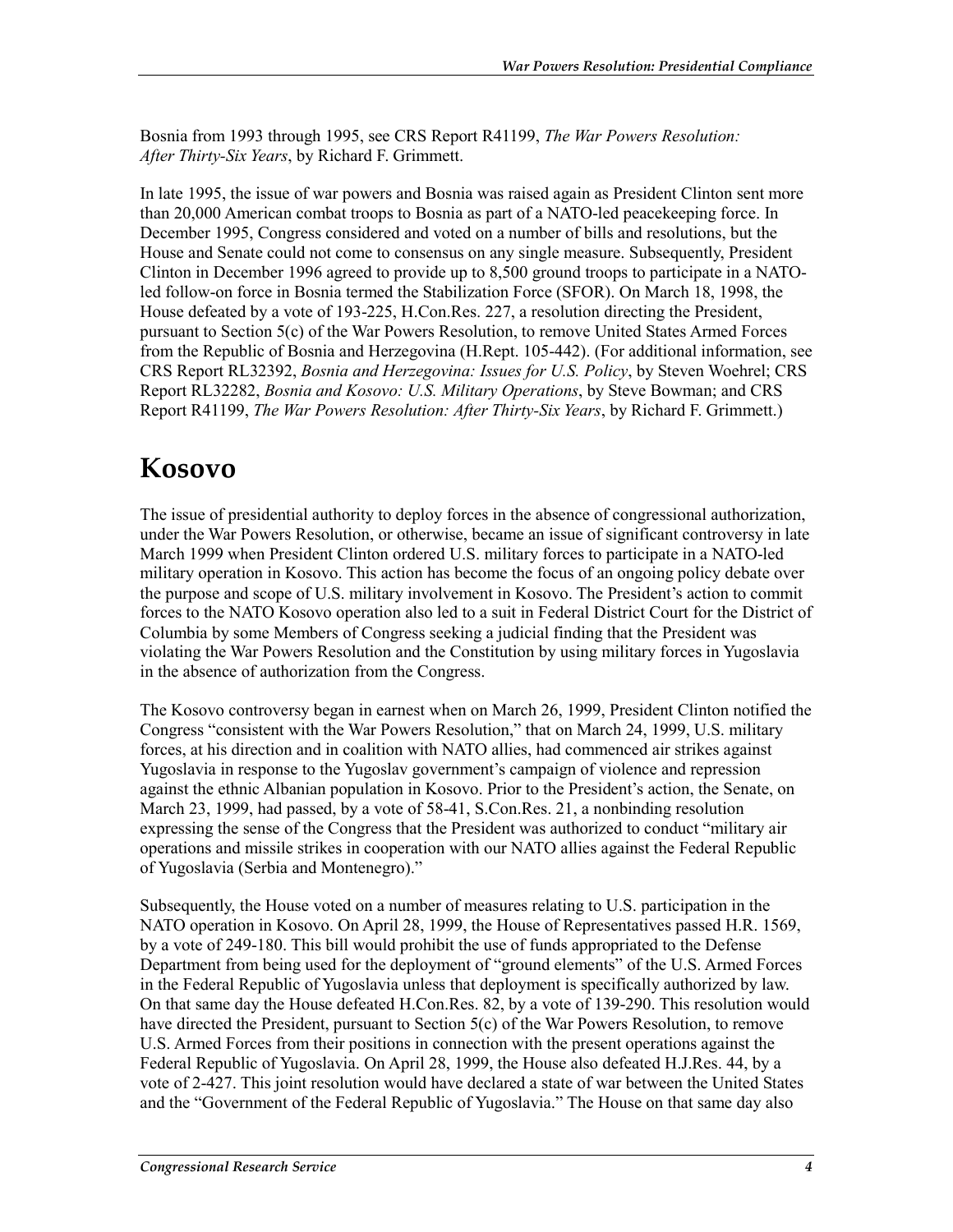Bosnia from 1993 through 1995, see CRS Report R41199, *The War Powers Resolution: After Thirty-Six Years*, by Richard F. Grimmett.

In late 1995, the issue of war powers and Bosnia was raised again as President Clinton sent more than 20,000 American combat troops to Bosnia as part of a NATO-led peacekeeping force. In December 1995, Congress considered and voted on a number of bills and resolutions, but the House and Senate could not come to consensus on any single measure. Subsequently, President Clinton in December 1996 agreed to provide up to 8,500 ground troops to participate in a NATOled follow-on force in Bosnia termed the Stabilization Force (SFOR). On March 18, 1998, the House defeated by a vote of 193-225, H.Con.Res. 227, a resolution directing the President, pursuant to Section 5(c) of the War Powers Resolution, to remove United States Armed Forces from the Republic of Bosnia and Herzegovina (H.Rept. 105-442). (For additional information, see CRS Report RL32392, *Bosnia and Herzegovina: Issues for U.S. Policy*, by Steven Woehrel; CRS Report RL32282, *Bosnia and Kosovo: U.S. Military Operations*, by Steve Bowman; and CRS Report R41199, *The War Powers Resolution: After Thirty-Six Years*, by Richard F. Grimmett.)

### **Kosovo**

The issue of presidential authority to deploy forces in the absence of congressional authorization, under the War Powers Resolution, or otherwise, became an issue of significant controversy in late March 1999 when President Clinton ordered U.S. military forces to participate in a NATO-led military operation in Kosovo. This action has become the focus of an ongoing policy debate over the purpose and scope of U.S. military involvement in Kosovo. The President's action to commit forces to the NATO Kosovo operation also led to a suit in Federal District Court for the District of Columbia by some Members of Congress seeking a judicial finding that the President was violating the War Powers Resolution and the Constitution by using military forces in Yugoslavia in the absence of authorization from the Congress.

The Kosovo controversy began in earnest when on March 26, 1999, President Clinton notified the Congress "consistent with the War Powers Resolution," that on March 24, 1999, U.S. military forces, at his direction and in coalition with NATO allies, had commenced air strikes against Yugoslavia in response to the Yugoslav government's campaign of violence and repression against the ethnic Albanian population in Kosovo. Prior to the President's action, the Senate, on March 23, 1999, had passed, by a vote of 58-41, S.Con.Res. 21, a nonbinding resolution expressing the sense of the Congress that the President was authorized to conduct "military air operations and missile strikes in cooperation with our NATO allies against the Federal Republic of Yugoslavia (Serbia and Montenegro)."

Subsequently, the House voted on a number of measures relating to U.S. participation in the NATO operation in Kosovo. On April 28, 1999, the House of Representatives passed H.R. 1569, by a vote of 249-180. This bill would prohibit the use of funds appropriated to the Defense Department from being used for the deployment of "ground elements" of the U.S. Armed Forces in the Federal Republic of Yugoslavia unless that deployment is specifically authorized by law. On that same day the House defeated H.Con.Res. 82, by a vote of 139-290. This resolution would have directed the President, pursuant to Section 5(c) of the War Powers Resolution, to remove U.S. Armed Forces from their positions in connection with the present operations against the Federal Republic of Yugoslavia. On April 28, 1999, the House also defeated H.J.Res. 44, by a vote of 2-427. This joint resolution would have declared a state of war between the United States and the "Government of the Federal Republic of Yugoslavia." The House on that same day also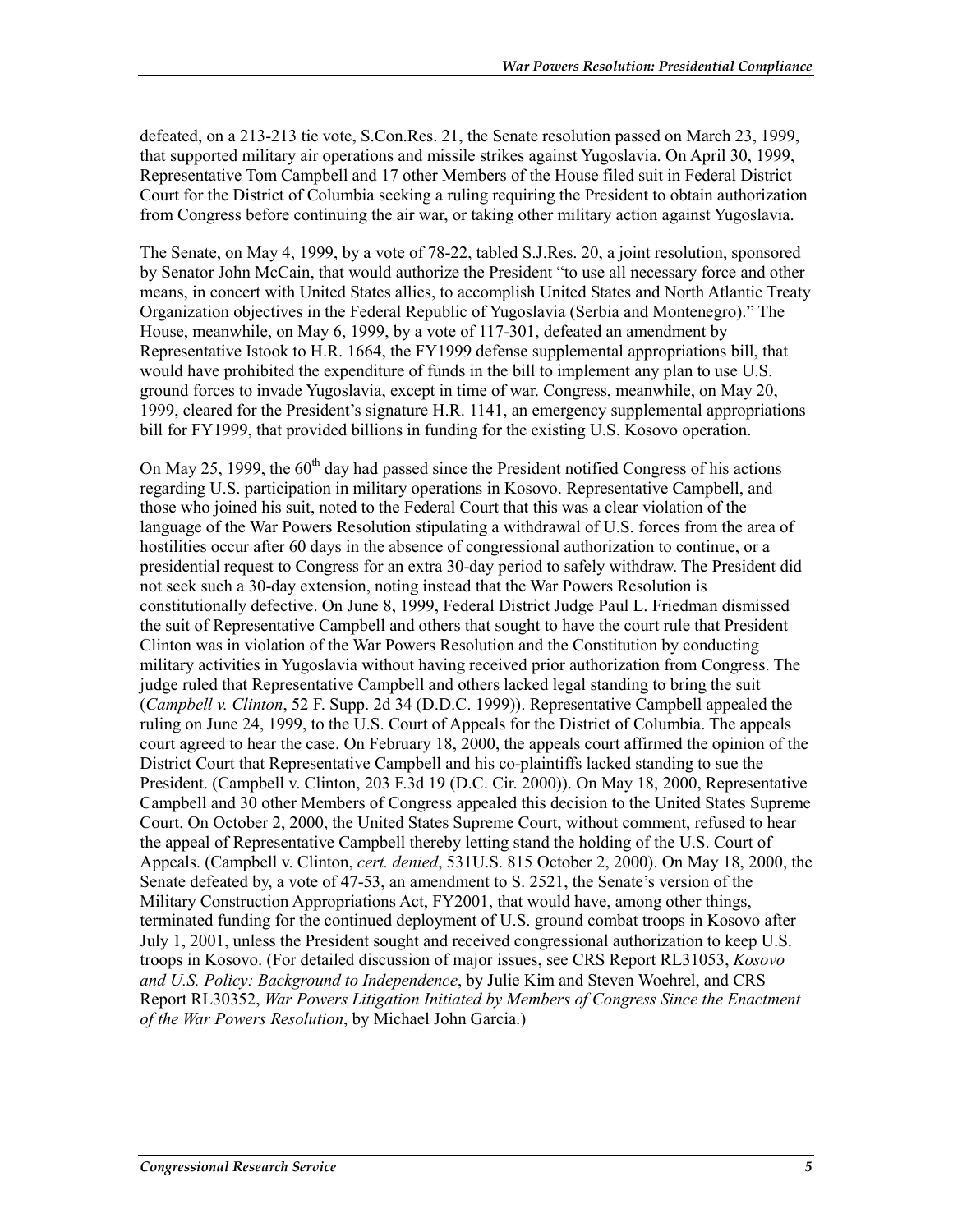defeated, on a 213-213 tie vote, S.Con.Res. 21, the Senate resolution passed on March 23, 1999, that supported military air operations and missile strikes against Yugoslavia. On April 30, 1999, Representative Tom Campbell and 17 other Members of the House filed suit in Federal District Court for the District of Columbia seeking a ruling requiring the President to obtain authorization from Congress before continuing the air war, or taking other military action against Yugoslavia.

The Senate, on May 4, 1999, by a vote of 78-22, tabled S.J.Res. 20, a joint resolution, sponsored by Senator John McCain, that would authorize the President "to use all necessary force and other means, in concert with United States allies, to accomplish United States and North Atlantic Treaty Organization objectives in the Federal Republic of Yugoslavia (Serbia and Montenegro)." The House, meanwhile, on May 6, 1999, by a vote of 117-301, defeated an amendment by Representative Istook to H.R. 1664, the FY1999 defense supplemental appropriations bill, that would have prohibited the expenditure of funds in the bill to implement any plan to use U.S. ground forces to invade Yugoslavia, except in time of war. Congress, meanwhile, on May 20, 1999, cleared for the President's signature H.R. 1141, an emergency supplemental appropriations bill for FY1999, that provided billions in funding for the existing U.S. Kosovo operation.

On May 25, 1999, the  $60<sup>th</sup>$  day had passed since the President notified Congress of his actions regarding U.S. participation in military operations in Kosovo. Representative Campbell, and those who joined his suit, noted to the Federal Court that this was a clear violation of the language of the War Powers Resolution stipulating a withdrawal of U.S. forces from the area of hostilities occur after 60 days in the absence of congressional authorization to continue, or a presidential request to Congress for an extra 30-day period to safely withdraw. The President did not seek such a 30-day extension, noting instead that the War Powers Resolution is constitutionally defective. On June 8, 1999, Federal District Judge Paul L. Friedman dismissed the suit of Representative Campbell and others that sought to have the court rule that President Clinton was in violation of the War Powers Resolution and the Constitution by conducting military activities in Yugoslavia without having received prior authorization from Congress. The judge ruled that Representative Campbell and others lacked legal standing to bring the suit (*Campbell v. Clinton*, 52 F. Supp. 2d 34 (D.D.C. 1999)). Representative Campbell appealed the ruling on June 24, 1999, to the U.S. Court of Appeals for the District of Columbia. The appeals court agreed to hear the case. On February 18, 2000, the appeals court affirmed the opinion of the District Court that Representative Campbell and his co-plaintiffs lacked standing to sue the President. (Campbell v. Clinton, 203 F.3d 19 (D.C. Cir. 2000)). On May 18, 2000, Representative Campbell and 30 other Members of Congress appealed this decision to the United States Supreme Court. On October 2, 2000, the United States Supreme Court, without comment, refused to hear the appeal of Representative Campbell thereby letting stand the holding of the U.S. Court of Appeals. (Campbell v. Clinton, *cert. denied*, 531U.S. 815 October 2, 2000). On May 18, 2000, the Senate defeated by, a vote of 47-53, an amendment to S. 2521, the Senate's version of the Military Construction Appropriations Act, FY2001, that would have, among other things, terminated funding for the continued deployment of U.S. ground combat troops in Kosovo after July 1, 2001, unless the President sought and received congressional authorization to keep U.S. troops in Kosovo. (For detailed discussion of major issues, see CRS Report RL31053, *Kosovo and U.S. Policy: Background to Independence*, by Julie Kim and Steven Woehrel, and CRS Report RL30352, *War Powers Litigation Initiated by Members of Congress Since the Enactment of the War Powers Resolution*, by Michael John Garcia.)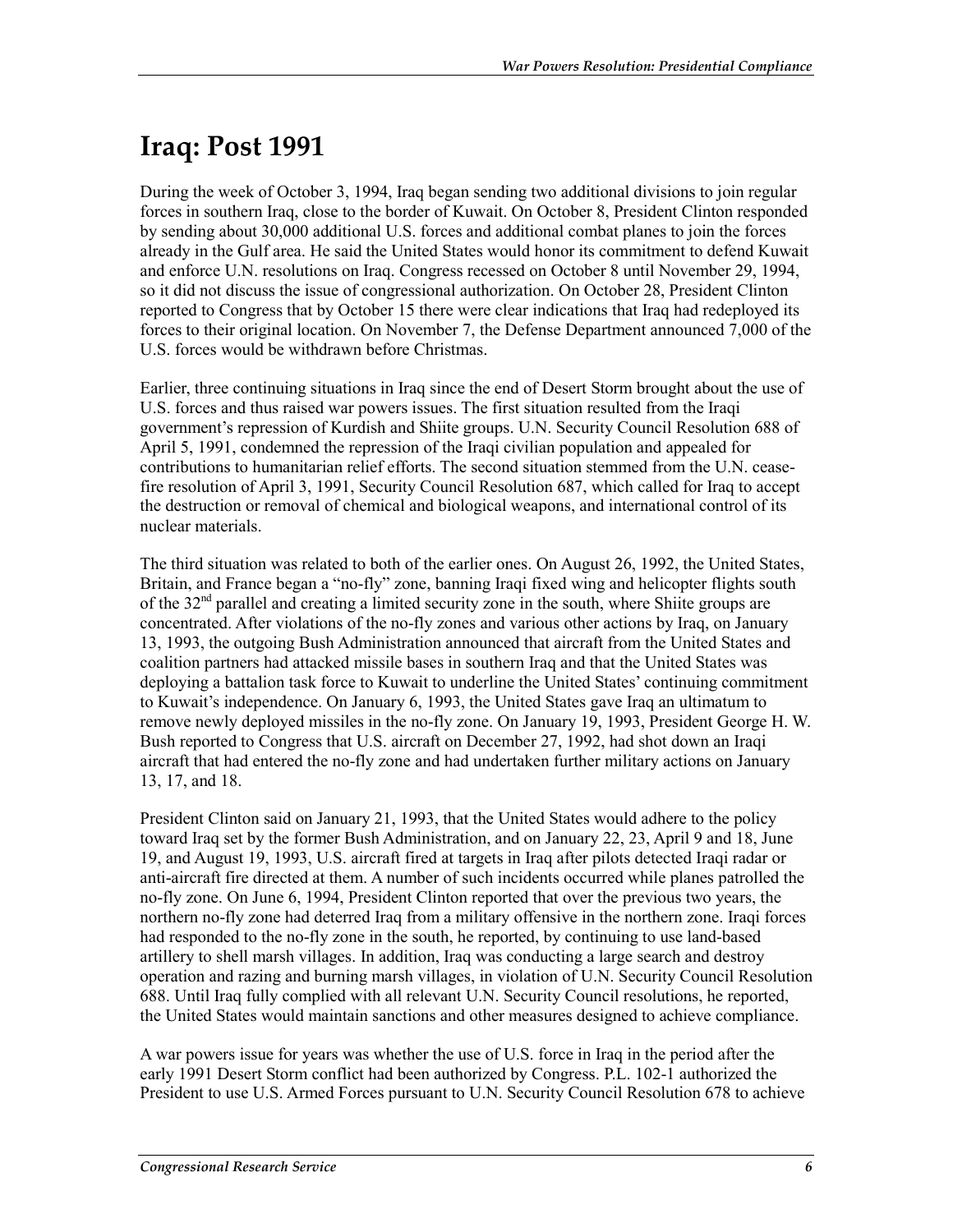### **Iraq: Post 1991**

During the week of October 3, 1994, Iraq began sending two additional divisions to join regular forces in southern Iraq, close to the border of Kuwait. On October 8, President Clinton responded by sending about 30,000 additional U.S. forces and additional combat planes to join the forces already in the Gulf area. He said the United States would honor its commitment to defend Kuwait and enforce U.N. resolutions on Iraq. Congress recessed on October 8 until November 29, 1994, so it did not discuss the issue of congressional authorization. On October 28, President Clinton reported to Congress that by October 15 there were clear indications that Iraq had redeployed its forces to their original location. On November 7, the Defense Department announced 7,000 of the U.S. forces would be withdrawn before Christmas.

Earlier, three continuing situations in Iraq since the end of Desert Storm brought about the use of U.S. forces and thus raised war powers issues. The first situation resulted from the Iraqi government's repression of Kurdish and Shiite groups. U.N. Security Council Resolution 688 of April 5, 1991, condemned the repression of the Iraqi civilian population and appealed for contributions to humanitarian relief efforts. The second situation stemmed from the U.N. ceasefire resolution of April 3, 1991, Security Council Resolution 687, which called for Iraq to accept the destruction or removal of chemical and biological weapons, and international control of its nuclear materials.

The third situation was related to both of the earlier ones. On August 26, 1992, the United States, Britain, and France began a "no-fly" zone, banning Iraqi fixed wing and helicopter flights south of the 32<sup>nd</sup> parallel and creating a limited security zone in the south, where Shiite groups are concentrated. After violations of the no-fly zones and various other actions by Iraq, on January 13, 1993, the outgoing Bush Administration announced that aircraft from the United States and coalition partners had attacked missile bases in southern Iraq and that the United States was deploying a battalion task force to Kuwait to underline the United States' continuing commitment to Kuwait's independence. On January 6, 1993, the United States gave Iraq an ultimatum to remove newly deployed missiles in the no-fly zone. On January 19, 1993, President George H. W. Bush reported to Congress that U.S. aircraft on December 27, 1992, had shot down an Iraqi aircraft that had entered the no-fly zone and had undertaken further military actions on January 13, 17, and 18.

President Clinton said on January 21, 1993, that the United States would adhere to the policy toward Iraq set by the former Bush Administration, and on January 22, 23, April 9 and 18, June 19, and August 19, 1993, U.S. aircraft fired at targets in Iraq after pilots detected Iraqi radar or anti-aircraft fire directed at them. A number of such incidents occurred while planes patrolled the no-fly zone. On June 6, 1994, President Clinton reported that over the previous two years, the northern no-fly zone had deterred Iraq from a military offensive in the northern zone. Iraqi forces had responded to the no-fly zone in the south, he reported, by continuing to use land-based artillery to shell marsh villages. In addition, Iraq was conducting a large search and destroy operation and razing and burning marsh villages, in violation of U.N. Security Council Resolution 688. Until Iraq fully complied with all relevant U.N. Security Council resolutions, he reported, the United States would maintain sanctions and other measures designed to achieve compliance.

A war powers issue for years was whether the use of U.S. force in Iraq in the period after the early 1991 Desert Storm conflict had been authorized by Congress. P.L. 102-1 authorized the President to use U.S. Armed Forces pursuant to U.N. Security Council Resolution 678 to achieve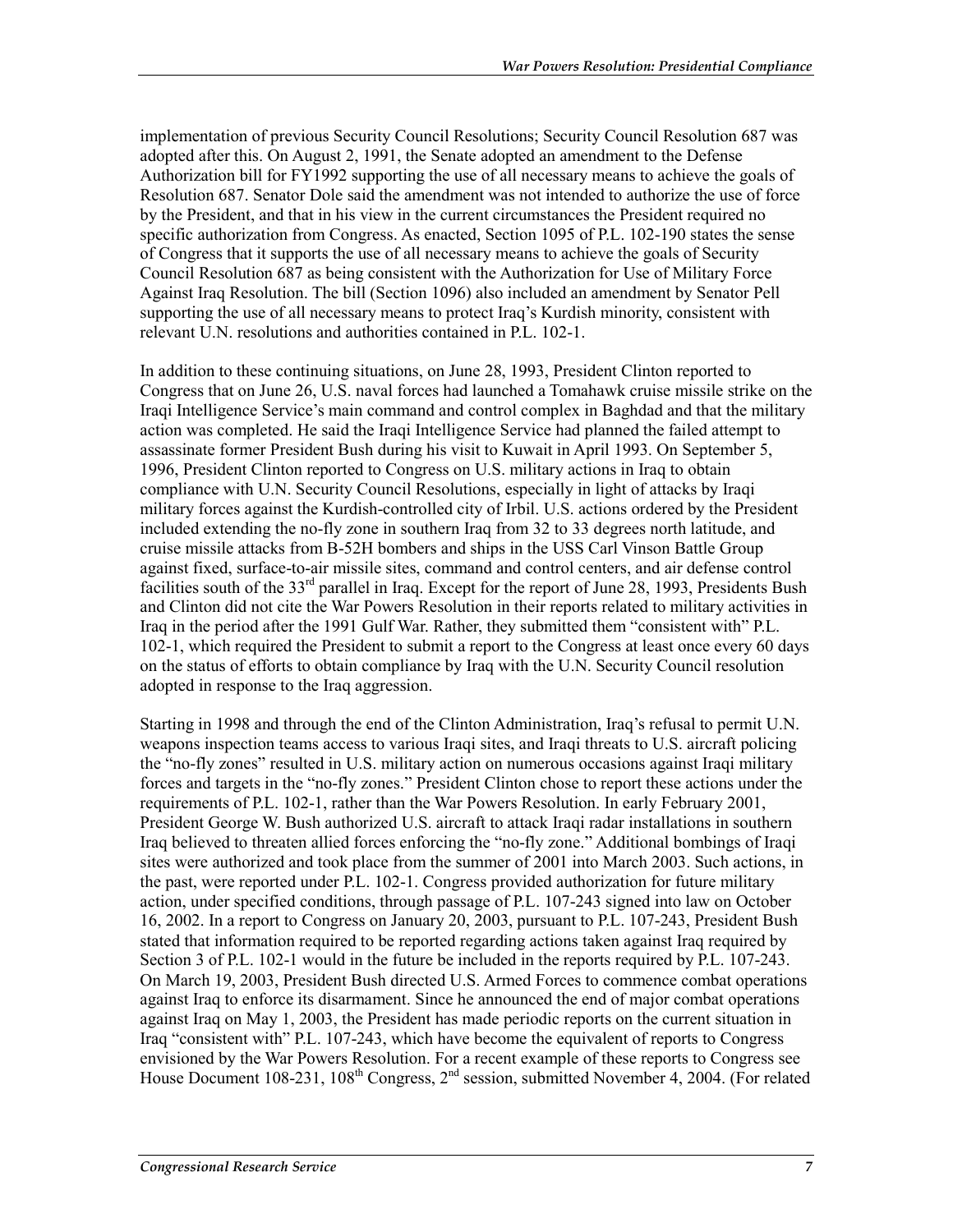implementation of previous Security Council Resolutions; Security Council Resolution 687 was adopted after this. On August 2, 1991, the Senate adopted an amendment to the Defense Authorization bill for FY1992 supporting the use of all necessary means to achieve the goals of Resolution 687. Senator Dole said the amendment was not intended to authorize the use of force by the President, and that in his view in the current circumstances the President required no specific authorization from Congress. As enacted, Section 1095 of P.L. 102-190 states the sense of Congress that it supports the use of all necessary means to achieve the goals of Security Council Resolution 687 as being consistent with the Authorization for Use of Military Force Against Iraq Resolution. The bill (Section 1096) also included an amendment by Senator Pell supporting the use of all necessary means to protect Iraq's Kurdish minority, consistent with relevant U.N. resolutions and authorities contained in P.L. 102-1.

In addition to these continuing situations, on June 28, 1993, President Clinton reported to Congress that on June 26, U.S. naval forces had launched a Tomahawk cruise missile strike on the Iraqi Intelligence Service's main command and control complex in Baghdad and that the military action was completed. He said the Iraqi Intelligence Service had planned the failed attempt to assassinate former President Bush during his visit to Kuwait in April 1993. On September 5, 1996, President Clinton reported to Congress on U.S. military actions in Iraq to obtain compliance with U.N. Security Council Resolutions, especially in light of attacks by Iraqi military forces against the Kurdish-controlled city of Irbil. U.S. actions ordered by the President included extending the no-fly zone in southern Iraq from 32 to 33 degrees north latitude, and cruise missile attacks from B-52H bombers and ships in the USS Carl Vinson Battle Group against fixed, surface-to-air missile sites, command and control centers, and air defense control facilities south of the 33<sup>rd</sup> parallel in Iraq. Except for the report of June 28, 1993, Presidents Bush and Clinton did not cite the War Powers Resolution in their reports related to military activities in Iraq in the period after the 1991 Gulf War. Rather, they submitted them "consistent with" P.L. 102-1, which required the President to submit a report to the Congress at least once every 60 days on the status of efforts to obtain compliance by Iraq with the U.N. Security Council resolution adopted in response to the Iraq aggression.

Starting in 1998 and through the end of the Clinton Administration, Iraq's refusal to permit U.N. weapons inspection teams access to various Iraqi sites, and Iraqi threats to U.S. aircraft policing the "no-fly zones" resulted in U.S. military action on numerous occasions against Iraqi military forces and targets in the "no-fly zones." President Clinton chose to report these actions under the requirements of P.L. 102-1, rather than the War Powers Resolution. In early February 2001, President George W. Bush authorized U.S. aircraft to attack Iraqi radar installations in southern Iraq believed to threaten allied forces enforcing the "no-fly zone." Additional bombings of Iraqi sites were authorized and took place from the summer of 2001 into March 2003. Such actions, in the past, were reported under P.L. 102-1. Congress provided authorization for future military action, under specified conditions, through passage of P.L. 107-243 signed into law on October 16, 2002. In a report to Congress on January 20, 2003, pursuant to P.L. 107-243, President Bush stated that information required to be reported regarding actions taken against Iraq required by Section 3 of P.L. 102-1 would in the future be included in the reports required by P.L. 107-243. On March 19, 2003, President Bush directed U.S. Armed Forces to commence combat operations against Iraq to enforce its disarmament. Since he announced the end of major combat operations against Iraq on May 1, 2003, the President has made periodic reports on the current situation in Iraq "consistent with" P.L. 107-243, which have become the equivalent of reports to Congress envisioned by the War Powers Resolution. For a recent example of these reports to Congress see House Document 108-231, 108th Congress, 2nd session, submitted November 4, 2004. (For related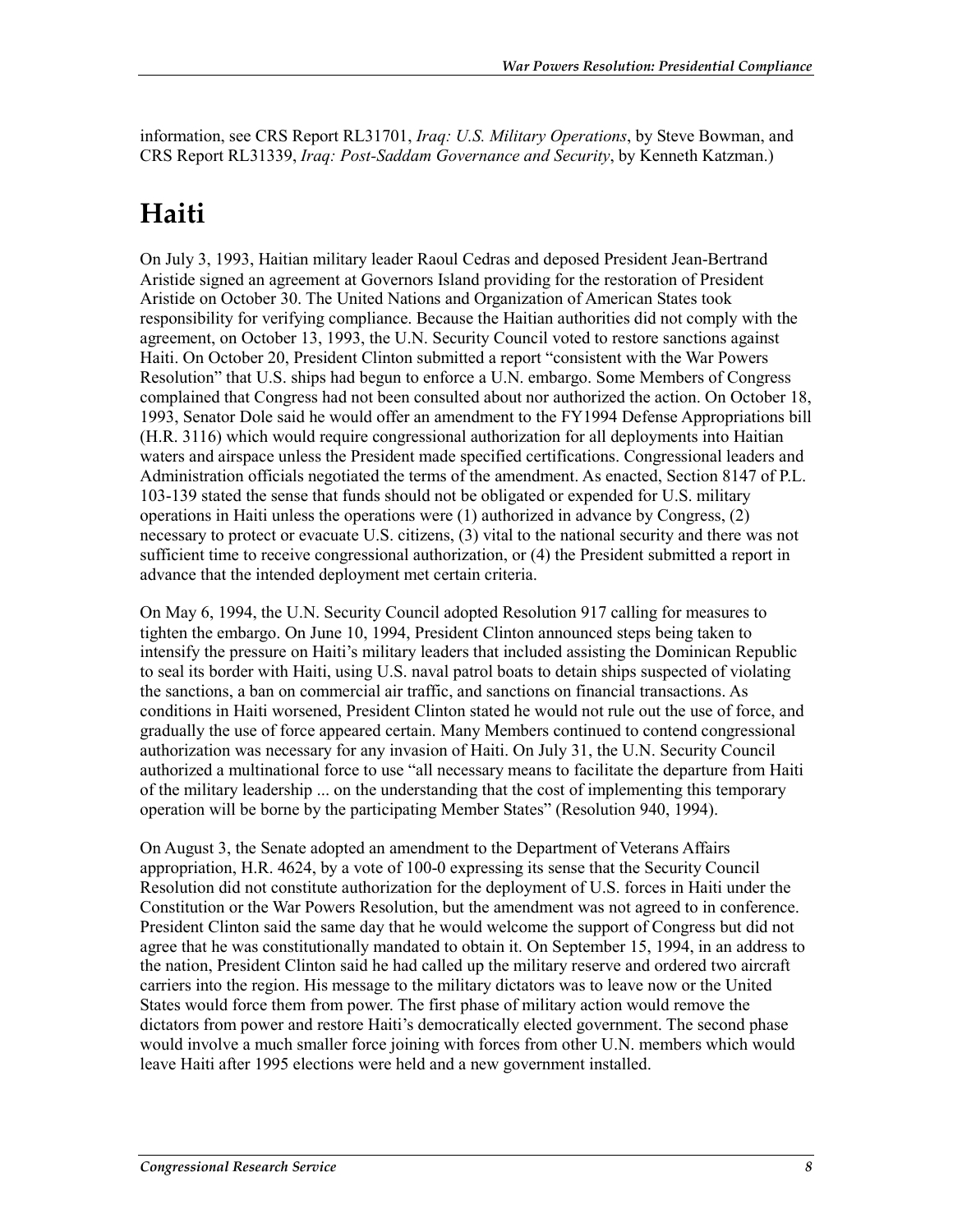information, see CRS Report RL31701, *Iraq: U.S. Military Operations*, by Steve Bowman, and CRS Report RL31339, *Iraq: Post-Saddam Governance and Security*, by Kenneth Katzman.)

# **Haiti**

On July 3, 1993, Haitian military leader Raoul Cedras and deposed President Jean-Bertrand Aristide signed an agreement at Governors Island providing for the restoration of President Aristide on October 30. The United Nations and Organization of American States took responsibility for verifying compliance. Because the Haitian authorities did not comply with the agreement, on October 13, 1993, the U.N. Security Council voted to restore sanctions against Haiti. On October 20, President Clinton submitted a report "consistent with the War Powers Resolution" that U.S. ships had begun to enforce a U.N. embargo. Some Members of Congress complained that Congress had not been consulted about nor authorized the action. On October 18, 1993, Senator Dole said he would offer an amendment to the FY1994 Defense Appropriations bill (H.R. 3116) which would require congressional authorization for all deployments into Haitian waters and airspace unless the President made specified certifications. Congressional leaders and Administration officials negotiated the terms of the amendment. As enacted, Section 8147 of P.L. 103-139 stated the sense that funds should not be obligated or expended for U.S. military operations in Haiti unless the operations were (1) authorized in advance by Congress, (2) necessary to protect or evacuate U.S. citizens, (3) vital to the national security and there was not sufficient time to receive congressional authorization, or (4) the President submitted a report in advance that the intended deployment met certain criteria.

On May 6, 1994, the U.N. Security Council adopted Resolution 917 calling for measures to tighten the embargo. On June 10, 1994, President Clinton announced steps being taken to intensify the pressure on Haiti's military leaders that included assisting the Dominican Republic to seal its border with Haiti, using U.S. naval patrol boats to detain ships suspected of violating the sanctions, a ban on commercial air traffic, and sanctions on financial transactions. As conditions in Haiti worsened, President Clinton stated he would not rule out the use of force, and gradually the use of force appeared certain. Many Members continued to contend congressional authorization was necessary for any invasion of Haiti. On July 31, the U.N. Security Council authorized a multinational force to use "all necessary means to facilitate the departure from Haiti of the military leadership ... on the understanding that the cost of implementing this temporary operation will be borne by the participating Member States" (Resolution 940, 1994).

On August 3, the Senate adopted an amendment to the Department of Veterans Affairs appropriation, H.R. 4624, by a vote of 100-0 expressing its sense that the Security Council Resolution did not constitute authorization for the deployment of U.S. forces in Haiti under the Constitution or the War Powers Resolution, but the amendment was not agreed to in conference. President Clinton said the same day that he would welcome the support of Congress but did not agree that he was constitutionally mandated to obtain it. On September 15, 1994, in an address to the nation, President Clinton said he had called up the military reserve and ordered two aircraft carriers into the region. His message to the military dictators was to leave now or the United States would force them from power. The first phase of military action would remove the dictators from power and restore Haiti's democratically elected government. The second phase would involve a much smaller force joining with forces from other U.N. members which would leave Haiti after 1995 elections were held and a new government installed.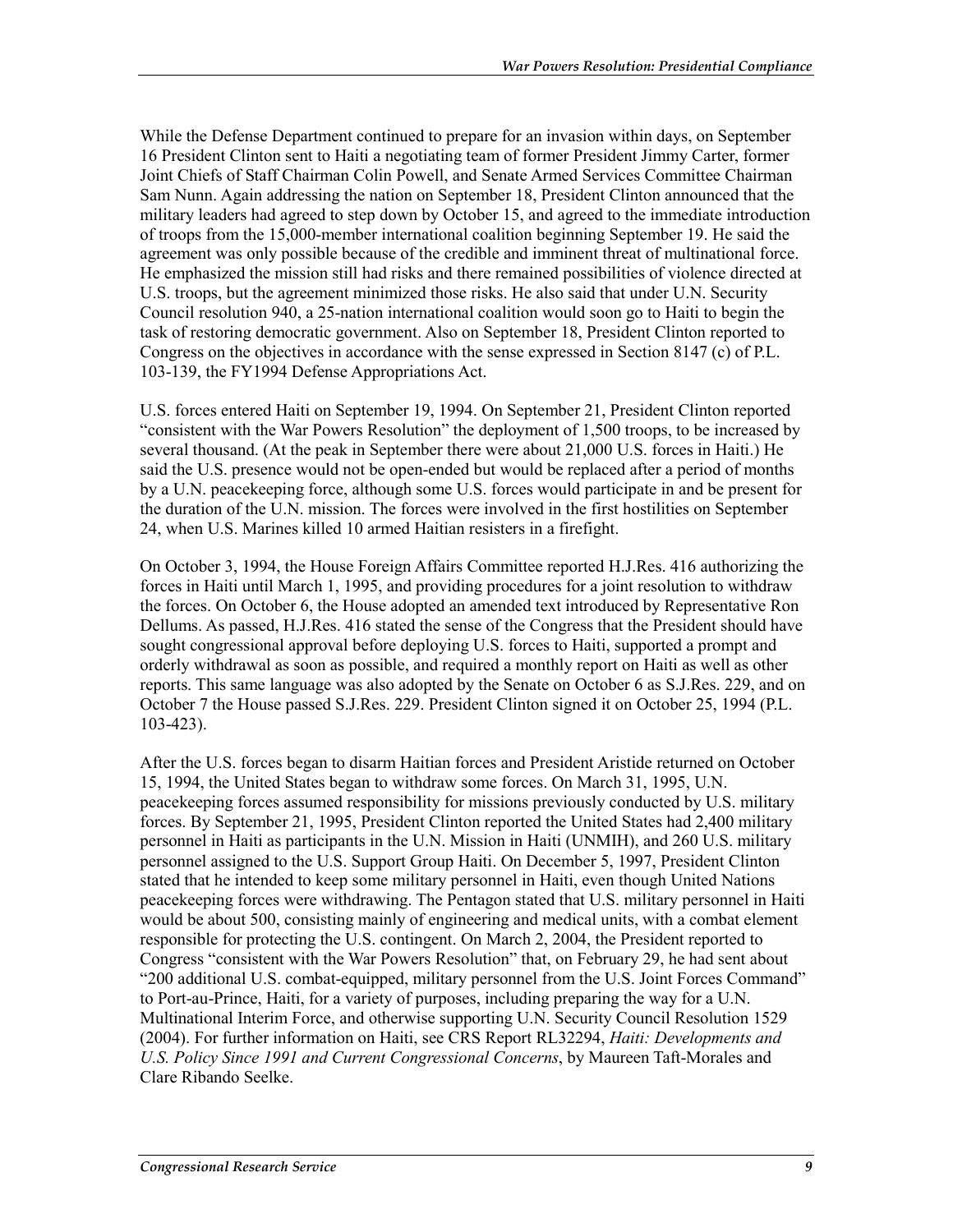While the Defense Department continued to prepare for an invasion within days, on September 16 President Clinton sent to Haiti a negotiating team of former President Jimmy Carter, former Joint Chiefs of Staff Chairman Colin Powell, and Senate Armed Services Committee Chairman Sam Nunn. Again addressing the nation on September 18, President Clinton announced that the military leaders had agreed to step down by October 15, and agreed to the immediate introduction of troops from the 15,000-member international coalition beginning September 19. He said the agreement was only possible because of the credible and imminent threat of multinational force. He emphasized the mission still had risks and there remained possibilities of violence directed at U.S. troops, but the agreement minimized those risks. He also said that under U.N. Security Council resolution 940, a 25-nation international coalition would soon go to Haiti to begin the task of restoring democratic government. Also on September 18, President Clinton reported to Congress on the objectives in accordance with the sense expressed in Section 8147 (c) of P.L. 103-139, the FY1994 Defense Appropriations Act.

U.S. forces entered Haiti on September 19, 1994. On September 21, President Clinton reported "consistent with the War Powers Resolution" the deployment of 1,500 troops, to be increased by several thousand. (At the peak in September there were about 21,000 U.S. forces in Haiti.) He said the U.S. presence would not be open-ended but would be replaced after a period of months by a U.N. peacekeeping force, although some U.S. forces would participate in and be present for the duration of the U.N. mission. The forces were involved in the first hostilities on September 24, when U.S. Marines killed 10 armed Haitian resisters in a firefight.

On October 3, 1994, the House Foreign Affairs Committee reported H.J.Res. 416 authorizing the forces in Haiti until March 1, 1995, and providing procedures for a joint resolution to withdraw the forces. On October 6, the House adopted an amended text introduced by Representative Ron Dellums. As passed, H.J.Res. 416 stated the sense of the Congress that the President should have sought congressional approval before deploying U.S. forces to Haiti, supported a prompt and orderly withdrawal as soon as possible, and required a monthly report on Haiti as well as other reports. This same language was also adopted by the Senate on October 6 as S.J.Res. 229, and on October 7 the House passed S.J.Res. 229. President Clinton signed it on October 25, 1994 (P.L. 103-423).

After the U.S. forces began to disarm Haitian forces and President Aristide returned on October 15, 1994, the United States began to withdraw some forces. On March 31, 1995, U.N. peacekeeping forces assumed responsibility for missions previously conducted by U.S. military forces. By September 21, 1995, President Clinton reported the United States had 2,400 military personnel in Haiti as participants in the U.N. Mission in Haiti (UNMIH), and 260 U.S. military personnel assigned to the U.S. Support Group Haiti. On December 5, 1997, President Clinton stated that he intended to keep some military personnel in Haiti, even though United Nations peacekeeping forces were withdrawing. The Pentagon stated that U.S. military personnel in Haiti would be about 500, consisting mainly of engineering and medical units, with a combat element responsible for protecting the U.S. contingent. On March 2, 2004, the President reported to Congress "consistent with the War Powers Resolution" that, on February 29, he had sent about "200 additional U.S. combat-equipped, military personnel from the U.S. Joint Forces Command" to Port-au-Prince, Haiti, for a variety of purposes, including preparing the way for a U.N. Multinational Interim Force, and otherwise supporting U.N. Security Council Resolution 1529 (2004). For further information on Haiti, see CRS Report RL32294, *Haiti: Developments and U.S. Policy Since 1991 and Current Congressional Concerns*, by Maureen Taft-Morales and Clare Ribando Seelke.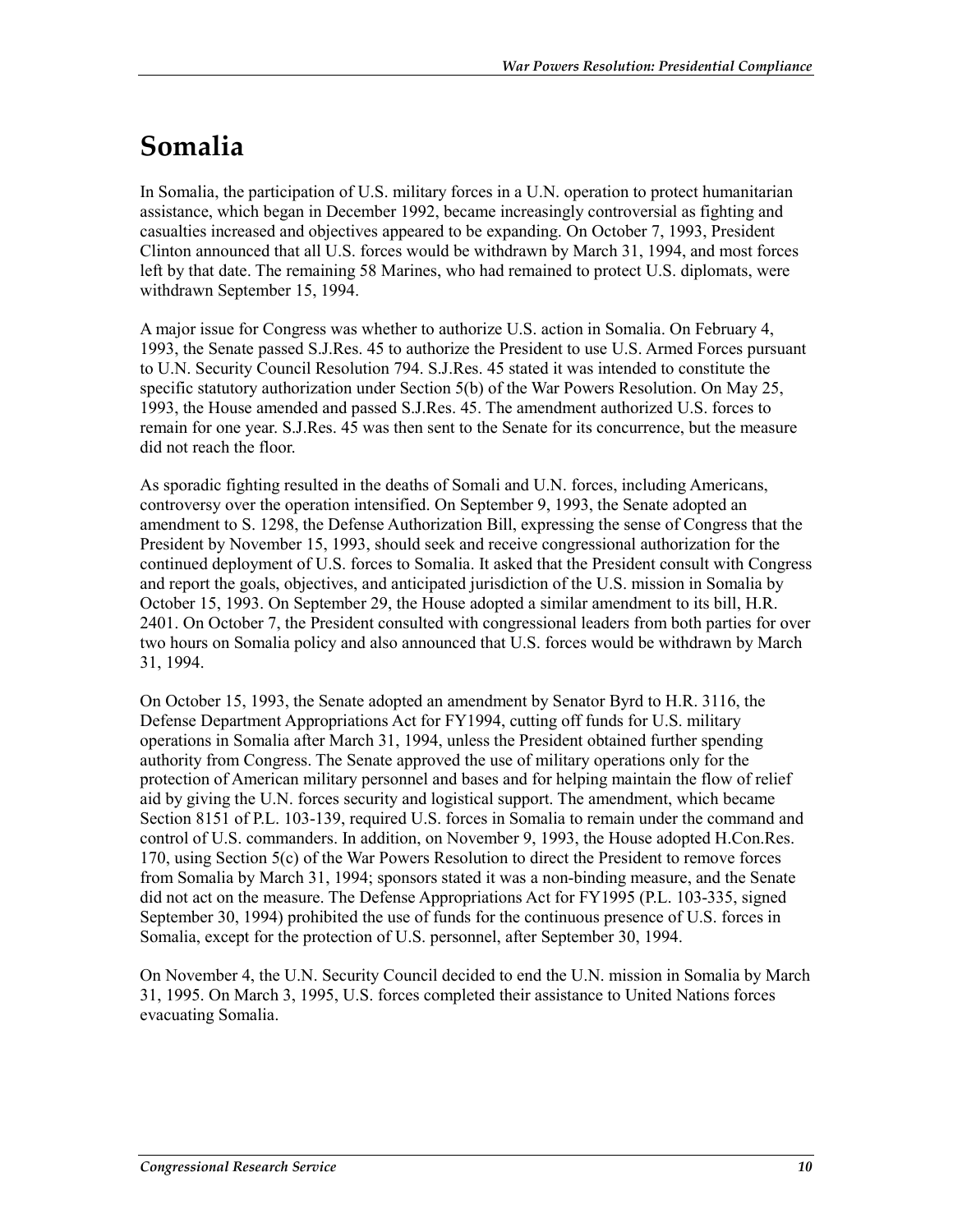### **Somalia**

In Somalia, the participation of U.S. military forces in a U.N. operation to protect humanitarian assistance, which began in December 1992, became increasingly controversial as fighting and casualties increased and objectives appeared to be expanding. On October 7, 1993, President Clinton announced that all U.S. forces would be withdrawn by March 31, 1994, and most forces left by that date. The remaining 58 Marines, who had remained to protect U.S. diplomats, were withdrawn September 15, 1994.

A major issue for Congress was whether to authorize U.S. action in Somalia. On February 4, 1993, the Senate passed S.J.Res. 45 to authorize the President to use U.S. Armed Forces pursuant to U.N. Security Council Resolution 794. S.J.Res. 45 stated it was intended to constitute the specific statutory authorization under Section 5(b) of the War Powers Resolution. On May 25, 1993, the House amended and passed S.J.Res. 45. The amendment authorized U.S. forces to remain for one year. S.J.Res. 45 was then sent to the Senate for its concurrence, but the measure did not reach the floor.

As sporadic fighting resulted in the deaths of Somali and U.N. forces, including Americans, controversy over the operation intensified. On September 9, 1993, the Senate adopted an amendment to S. 1298, the Defense Authorization Bill, expressing the sense of Congress that the President by November 15, 1993, should seek and receive congressional authorization for the continued deployment of U.S. forces to Somalia. It asked that the President consult with Congress and report the goals, objectives, and anticipated jurisdiction of the U.S. mission in Somalia by October 15, 1993. On September 29, the House adopted a similar amendment to its bill, H.R. 2401. On October 7, the President consulted with congressional leaders from both parties for over two hours on Somalia policy and also announced that U.S. forces would be withdrawn by March 31, 1994.

On October 15, 1993, the Senate adopted an amendment by Senator Byrd to H.R. 3116, the Defense Department Appropriations Act for FY1994, cutting off funds for U.S. military operations in Somalia after March 31, 1994, unless the President obtained further spending authority from Congress. The Senate approved the use of military operations only for the protection of American military personnel and bases and for helping maintain the flow of relief aid by giving the U.N. forces security and logistical support. The amendment, which became Section 8151 of P.L. 103-139, required U.S. forces in Somalia to remain under the command and control of U.S. commanders. In addition, on November 9, 1993, the House adopted H.Con.Res. 170, using Section 5(c) of the War Powers Resolution to direct the President to remove forces from Somalia by March 31, 1994; sponsors stated it was a non-binding measure, and the Senate did not act on the measure. The Defense Appropriations Act for FY1995 (P.L. 103-335, signed September 30, 1994) prohibited the use of funds for the continuous presence of U.S. forces in Somalia, except for the protection of U.S. personnel, after September 30, 1994.

On November 4, the U.N. Security Council decided to end the U.N. mission in Somalia by March 31, 1995. On March 3, 1995, U.S. forces completed their assistance to United Nations forces evacuating Somalia.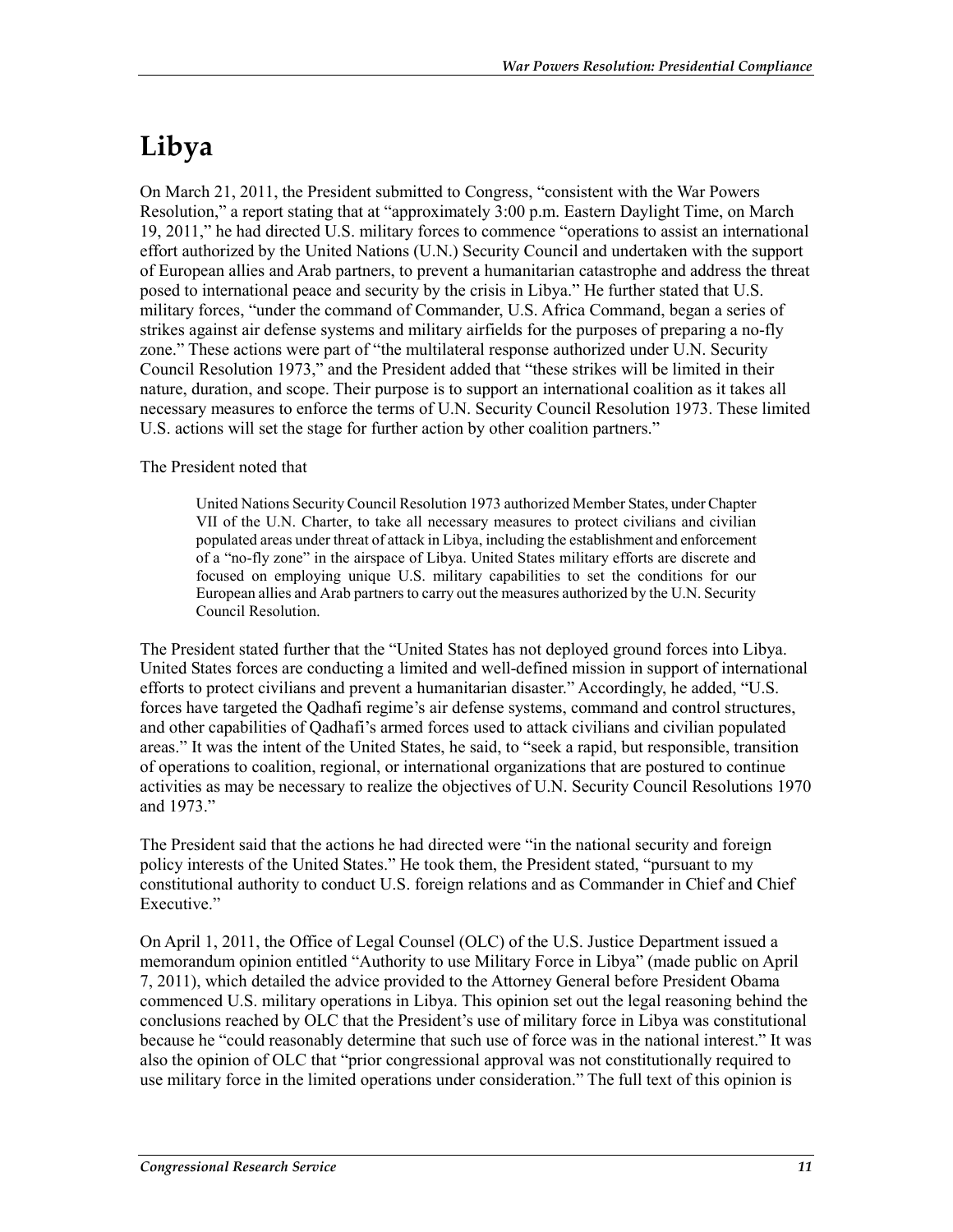# **Libya**

On March 21, 2011, the President submitted to Congress, "consistent with the War Powers Resolution," a report stating that at "approximately 3:00 p.m. Eastern Daylight Time, on March 19, 2011," he had directed U.S. military forces to commence "operations to assist an international effort authorized by the United Nations (U.N.) Security Council and undertaken with the support of European allies and Arab partners, to prevent a humanitarian catastrophe and address the threat posed to international peace and security by the crisis in Libya." He further stated that U.S. military forces, "under the command of Commander, U.S. Africa Command, began a series of strikes against air defense systems and military airfields for the purposes of preparing a no-fly zone." These actions were part of "the multilateral response authorized under U.N. Security Council Resolution 1973," and the President added that "these strikes will be limited in their nature, duration, and scope. Their purpose is to support an international coalition as it takes all necessary measures to enforce the terms of U.N. Security Council Resolution 1973. These limited U.S. actions will set the stage for further action by other coalition partners."

The President noted that

United Nations Security Council Resolution 1973 authorized Member States, under Chapter VII of the U.N. Charter, to take all necessary measures to protect civilians and civilian populated areas under threat of attack in Libya, including the establishment and enforcement of a "no-fly zone" in the airspace of Libya. United States military efforts are discrete and focused on employing unique U.S. military capabilities to set the conditions for our European allies and Arab partners to carry out the measures authorized by the U.N. Security Council Resolution.

The President stated further that the "United States has not deployed ground forces into Libya. United States forces are conducting a limited and well-defined mission in support of international efforts to protect civilians and prevent a humanitarian disaster." Accordingly, he added, "U.S. forces have targeted the Qadhafi regime's air defense systems, command and control structures, and other capabilities of Qadhafi's armed forces used to attack civilians and civilian populated areas." It was the intent of the United States, he said, to "seek a rapid, but responsible, transition of operations to coalition, regional, or international organizations that are postured to continue activities as may be necessary to realize the objectives of U.N. Security Council Resolutions 1970 and 1973."

The President said that the actions he had directed were "in the national security and foreign policy interests of the United States." He took them, the President stated, "pursuant to my constitutional authority to conduct U.S. foreign relations and as Commander in Chief and Chief Executive."

On April 1, 2011, the Office of Legal Counsel (OLC) of the U.S. Justice Department issued a memorandum opinion entitled "Authority to use Military Force in Libya" (made public on April 7, 2011), which detailed the advice provided to the Attorney General before President Obama commenced U.S. military operations in Libya. This opinion set out the legal reasoning behind the conclusions reached by OLC that the President's use of military force in Libya was constitutional because he "could reasonably determine that such use of force was in the national interest." It was also the opinion of OLC that "prior congressional approval was not constitutionally required to use military force in the limited operations under consideration." The full text of this opinion is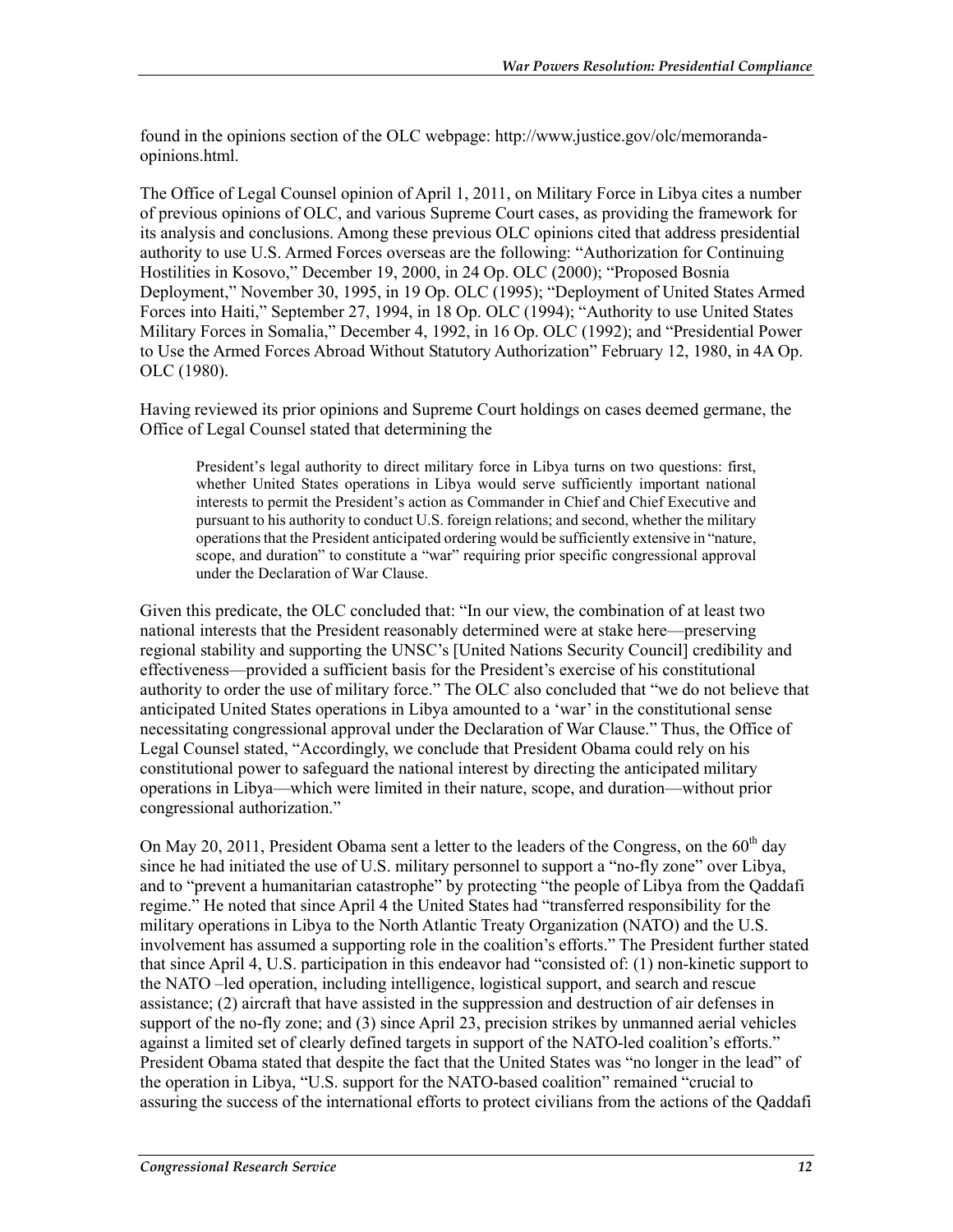found in the opinions section of the OLC webpage: http://www.justice.gov/olc/memorandaopinions.html.

The Office of Legal Counsel opinion of April 1, 2011, on Military Force in Libya cites a number of previous opinions of OLC, and various Supreme Court cases, as providing the framework for its analysis and conclusions. Among these previous OLC opinions cited that address presidential authority to use U.S. Armed Forces overseas are the following: "Authorization for Continuing Hostilities in Kosovo," December 19, 2000, in 24 Op. OLC (2000); "Proposed Bosnia Deployment," November 30, 1995, in 19 Op. OLC (1995); "Deployment of United States Armed Forces into Haiti," September 27, 1994, in 18 Op. OLC (1994); "Authority to use United States Military Forces in Somalia," December 4, 1992, in 16 Op. OLC (1992); and "Presidential Power to Use the Armed Forces Abroad Without Statutory Authorization" February 12, 1980, in 4A Op. OLC (1980).

Having reviewed its prior opinions and Supreme Court holdings on cases deemed germane, the Office of Legal Counsel stated that determining the

President's legal authority to direct military force in Libya turns on two questions: first, whether United States operations in Libya would serve sufficiently important national interests to permit the President's action as Commander in Chief and Chief Executive and pursuant to his authority to conduct U.S. foreign relations; and second, whether the military operations that the President anticipated ordering would be sufficiently extensive in "nature, scope, and duration" to constitute a "war" requiring prior specific congressional approval under the Declaration of War Clause.

Given this predicate, the OLC concluded that: "In our view, the combination of at least two national interests that the President reasonably determined were at stake here—preserving regional stability and supporting the UNSC's [United Nations Security Council] credibility and effectiveness—provided a sufficient basis for the President's exercise of his constitutional authority to order the use of military force." The OLC also concluded that "we do not believe that anticipated United States operations in Libya amounted to a 'war' in the constitutional sense necessitating congressional approval under the Declaration of War Clause." Thus, the Office of Legal Counsel stated, "Accordingly, we conclude that President Obama could rely on his constitutional power to safeguard the national interest by directing the anticipated military operations in Libya—which were limited in their nature, scope, and duration—without prior congressional authorization."

On May 20, 2011, President Obama sent a letter to the leaders of the Congress, on the  $60<sup>th</sup>$  day since he had initiated the use of U.S. military personnel to support a "no-fly zone" over Libya, and to "prevent a humanitarian catastrophe" by protecting "the people of Libya from the Qaddafi regime." He noted that since April 4 the United States had "transferred responsibility for the military operations in Libya to the North Atlantic Treaty Organization (NATO) and the U.S. involvement has assumed a supporting role in the coalition's efforts." The President further stated that since April 4, U.S. participation in this endeavor had "consisted of: (1) non-kinetic support to the NATO –led operation, including intelligence, logistical support, and search and rescue assistance; (2) aircraft that have assisted in the suppression and destruction of air defenses in support of the no-fly zone; and (3) since April 23, precision strikes by unmanned aerial vehicles against a limited set of clearly defined targets in support of the NATO-led coalition's efforts." President Obama stated that despite the fact that the United States was "no longer in the lead" of the operation in Libya, "U.S. support for the NATO-based coalition" remained "crucial to assuring the success of the international efforts to protect civilians from the actions of the Qaddafi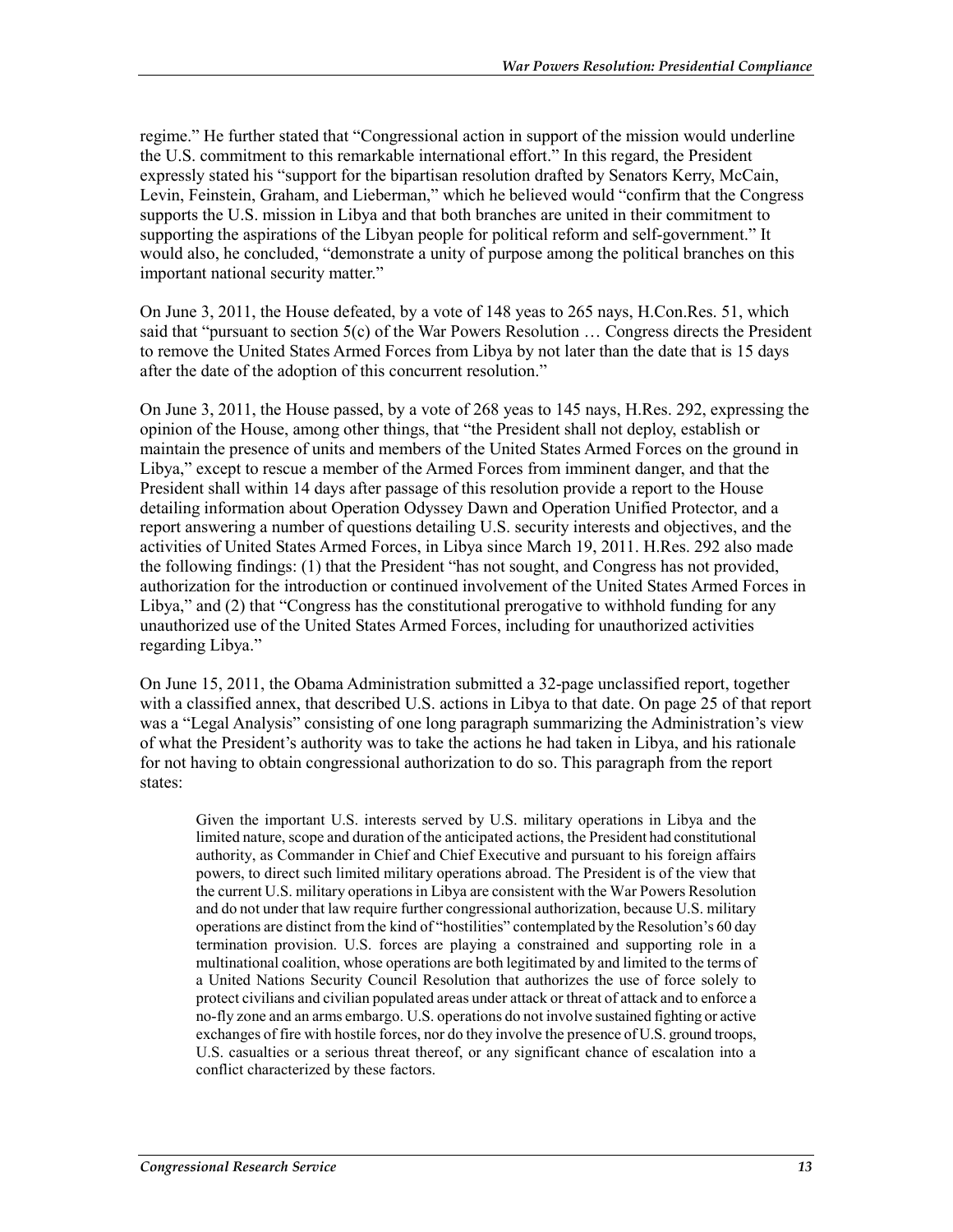regime." He further stated that "Congressional action in support of the mission would underline the U.S. commitment to this remarkable international effort." In this regard, the President expressly stated his "support for the bipartisan resolution drafted by Senators Kerry, McCain, Levin, Feinstein, Graham, and Lieberman," which he believed would "confirm that the Congress supports the U.S. mission in Libya and that both branches are united in their commitment to supporting the aspirations of the Libyan people for political reform and self-government." It would also, he concluded, "demonstrate a unity of purpose among the political branches on this important national security matter."

On June 3, 2011, the House defeated, by a vote of 148 yeas to 265 nays, H.Con.Res. 51, which said that "pursuant to section 5(c) of the War Powers Resolution … Congress directs the President to remove the United States Armed Forces from Libya by not later than the date that is 15 days after the date of the adoption of this concurrent resolution."

On June 3, 2011, the House passed, by a vote of 268 yeas to 145 nays, H.Res. 292, expressing the opinion of the House, among other things, that "the President shall not deploy, establish or maintain the presence of units and members of the United States Armed Forces on the ground in Libya," except to rescue a member of the Armed Forces from imminent danger, and that the President shall within 14 days after passage of this resolution provide a report to the House detailing information about Operation Odyssey Dawn and Operation Unified Protector, and a report answering a number of questions detailing U.S. security interests and objectives, and the activities of United States Armed Forces, in Libya since March 19, 2011. H.Res. 292 also made the following findings: (1) that the President "has not sought, and Congress has not provided, authorization for the introduction or continued involvement of the United States Armed Forces in Libya," and (2) that "Congress has the constitutional prerogative to withhold funding for any unauthorized use of the United States Armed Forces, including for unauthorized activities regarding Libya."

On June 15, 2011, the Obama Administration submitted a 32-page unclassified report, together with a classified annex, that described U.S. actions in Libya to that date. On page 25 of that report was a "Legal Analysis" consisting of one long paragraph summarizing the Administration's view of what the President's authority was to take the actions he had taken in Libya, and his rationale for not having to obtain congressional authorization to do so. This paragraph from the report states:

Given the important U.S. interests served by U.S. military operations in Libya and the limited nature, scope and duration of the anticipated actions, the President had constitutional authority, as Commander in Chief and Chief Executive and pursuant to his foreign affairs powers, to direct such limited military operations abroad. The President is of the view that the current U.S. military operations in Libya are consistent with the War Powers Resolution and do not under that law require further congressional authorization, because U.S. military operations are distinct from the kind of "hostilities" contemplated by the Resolution's 60 day termination provision. U.S. forces are playing a constrained and supporting role in a multinational coalition, whose operations are both legitimated by and limited to the terms of a United Nations Security Council Resolution that authorizes the use of force solely to protect civilians and civilian populated areas under attack or threat of attack and to enforce a no-fly zone and an arms embargo. U.S. operations do not involve sustained fighting or active exchanges of fire with hostile forces, nor do they involve the presence of U.S. ground troops, U.S. casualties or a serious threat thereof, or any significant chance of escalation into a conflict characterized by these factors.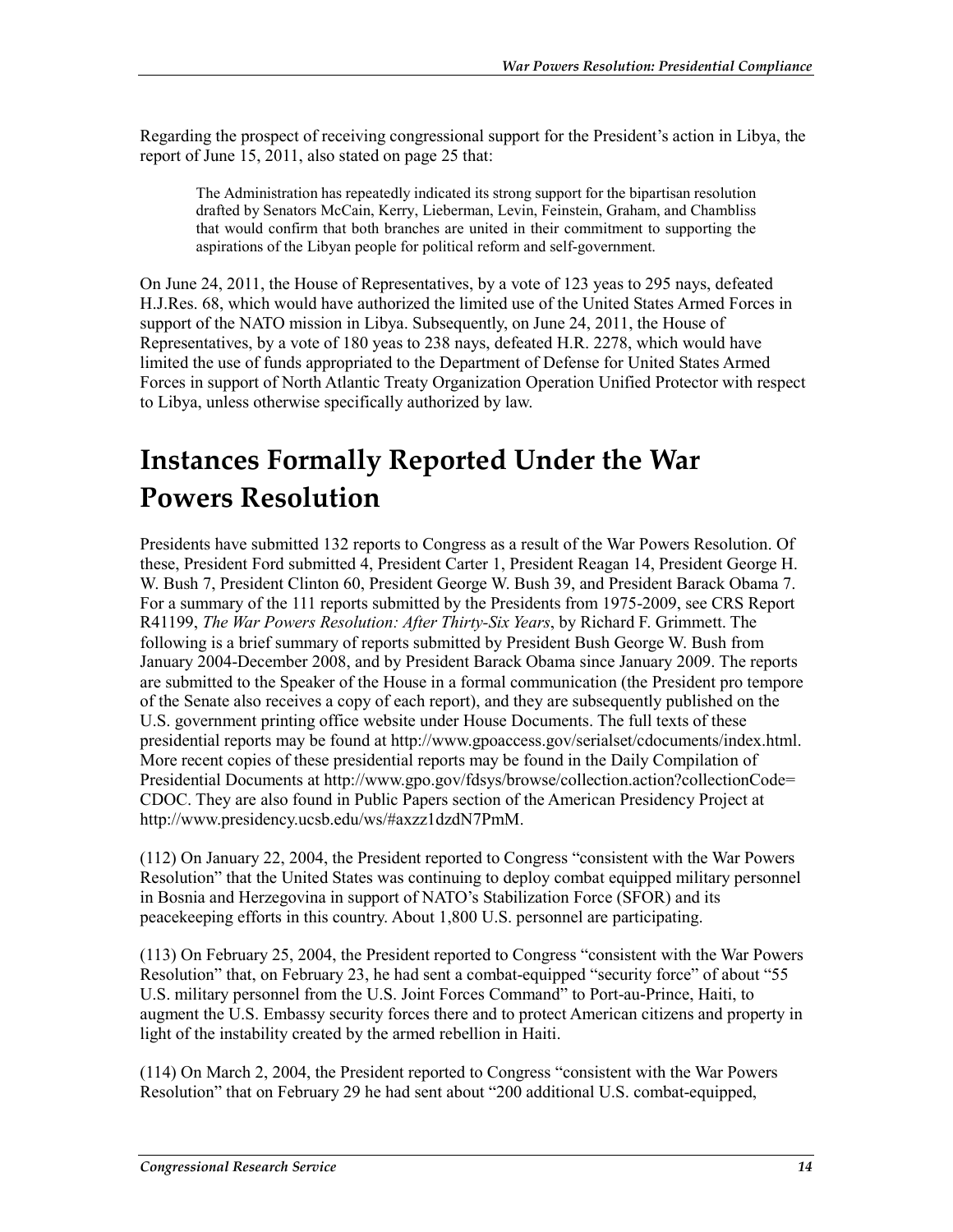Regarding the prospect of receiving congressional support for the President's action in Libya, the report of June 15, 2011, also stated on page 25 that:

The Administration has repeatedly indicated its strong support for the bipartisan resolution drafted by Senators McCain, Kerry, Lieberman, Levin, Feinstein, Graham, and Chambliss that would confirm that both branches are united in their commitment to supporting the aspirations of the Libyan people for political reform and self-government.

On June 24, 2011, the House of Representatives, by a vote of 123 yeas to 295 nays, defeated H.J.Res. 68, which would have authorized the limited use of the United States Armed Forces in support of the NATO mission in Libya. Subsequently, on June 24, 2011, the House of Representatives, by a vote of 180 yeas to 238 nays, defeated H.R. 2278, which would have limited the use of funds appropriated to the Department of Defense for United States Armed Forces in support of North Atlantic Treaty Organization Operation Unified Protector with respect to Libya, unless otherwise specifically authorized by law.

### **Instances Formally Reported Under the War Powers Resolution**

Presidents have submitted 132 reports to Congress as a result of the War Powers Resolution. Of these, President Ford submitted 4, President Carter 1, President Reagan 14, President George H. W. Bush 7, President Clinton 60, President George W. Bush 39, and President Barack Obama 7. For a summary of the 111 reports submitted by the Presidents from 1975-2009, see CRS Report R41199, *The War Powers Resolution: After Thirty-Six Years*, by Richard F. Grimmett. The following is a brief summary of reports submitted by President Bush George W. Bush from January 2004-December 2008, and by President Barack Obama since January 2009. The reports are submitted to the Speaker of the House in a formal communication (the President pro tempore of the Senate also receives a copy of each report), and they are subsequently published on the U.S. government printing office website under House Documents. The full texts of these presidential reports may be found at http://www.gpoaccess.gov/serialset/cdocuments/index.html. More recent copies of these presidential reports may be found in the Daily Compilation of Presidential Documents at http://www.gpo.gov/fdsys/browse/collection.action?collectionCode= CDOC. They are also found in Public Papers section of the American Presidency Project at http://www.presidency.ucsb.edu/ws/#axzz1dzdN7PmM.

(112) On January 22, 2004, the President reported to Congress "consistent with the War Powers Resolution" that the United States was continuing to deploy combat equipped military personnel in Bosnia and Herzegovina in support of NATO's Stabilization Force (SFOR) and its peacekeeping efforts in this country. About 1,800 U.S. personnel are participating.

(113) On February 25, 2004, the President reported to Congress "consistent with the War Powers Resolution" that, on February 23, he had sent a combat-equipped "security force" of about "55 U.S. military personnel from the U.S. Joint Forces Command" to Port-au-Prince, Haiti, to augment the U.S. Embassy security forces there and to protect American citizens and property in light of the instability created by the armed rebellion in Haiti.

(114) On March 2, 2004, the President reported to Congress "consistent with the War Powers Resolution" that on February 29 he had sent about "200 additional U.S. combat-equipped,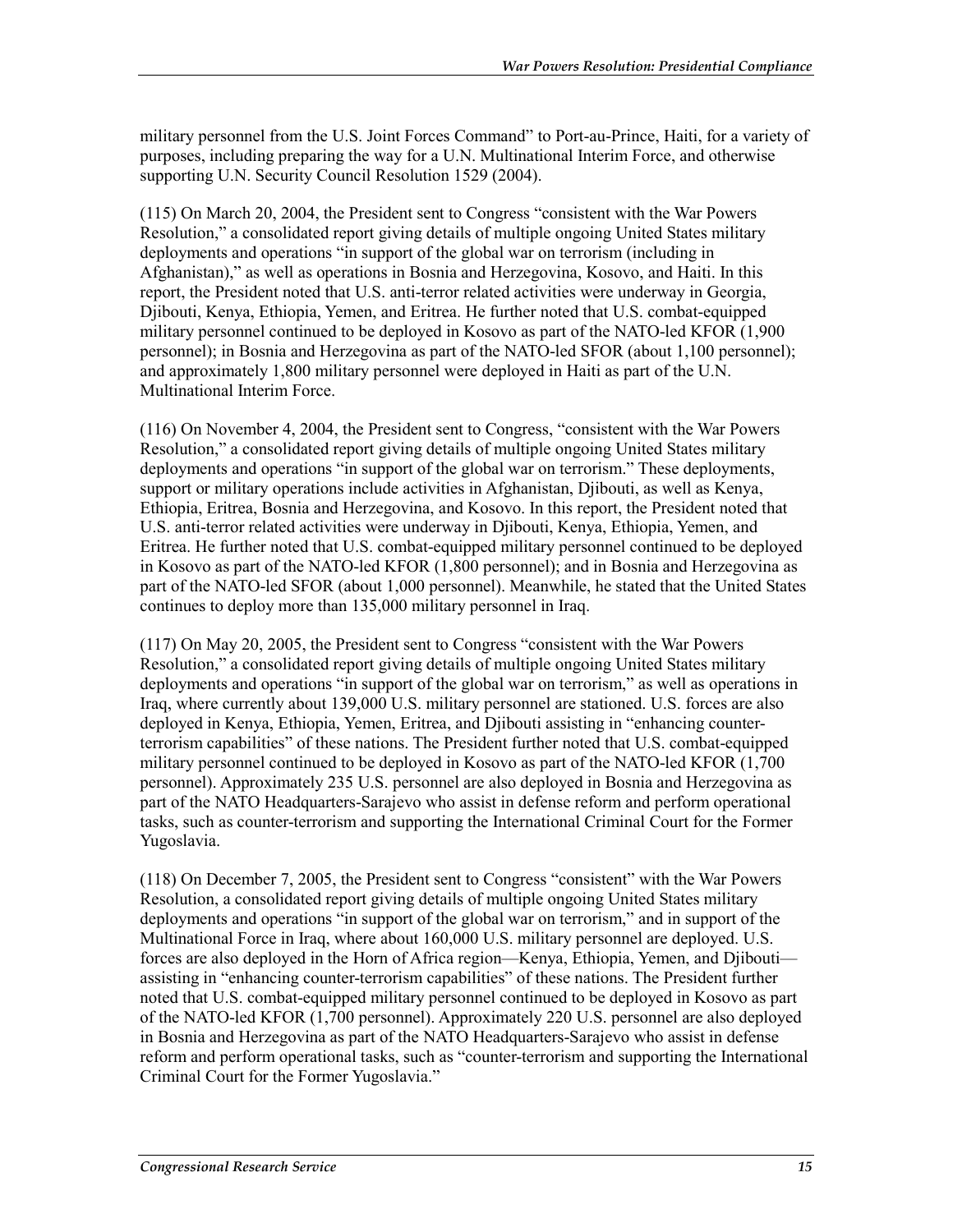military personnel from the U.S. Joint Forces Command" to Port-au-Prince, Haiti, for a variety of purposes, including preparing the way for a U.N. Multinational Interim Force, and otherwise supporting U.N. Security Council Resolution 1529 (2004).

(115) On March 20, 2004, the President sent to Congress "consistent with the War Powers Resolution," a consolidated report giving details of multiple ongoing United States military deployments and operations "in support of the global war on terrorism (including in Afghanistan)," as well as operations in Bosnia and Herzegovina, Kosovo, and Haiti. In this report, the President noted that U.S. anti-terror related activities were underway in Georgia, Djibouti, Kenya, Ethiopia, Yemen, and Eritrea. He further noted that U.S. combat-equipped military personnel continued to be deployed in Kosovo as part of the NATO-led KFOR (1,900 personnel); in Bosnia and Herzegovina as part of the NATO-led SFOR (about 1,100 personnel); and approximately 1,800 military personnel were deployed in Haiti as part of the U.N. Multinational Interim Force.

(116) On November 4, 2004, the President sent to Congress, "consistent with the War Powers Resolution," a consolidated report giving details of multiple ongoing United States military deployments and operations "in support of the global war on terrorism." These deployments, support or military operations include activities in Afghanistan, Djibouti, as well as Kenya, Ethiopia, Eritrea, Bosnia and Herzegovina, and Kosovo. In this report, the President noted that U.S. anti-terror related activities were underway in Djibouti, Kenya, Ethiopia, Yemen, and Eritrea. He further noted that U.S. combat-equipped military personnel continued to be deployed in Kosovo as part of the NATO-led KFOR (1,800 personnel); and in Bosnia and Herzegovina as part of the NATO-led SFOR (about 1,000 personnel). Meanwhile, he stated that the United States continues to deploy more than 135,000 military personnel in Iraq.

(117) On May 20, 2005, the President sent to Congress "consistent with the War Powers Resolution," a consolidated report giving details of multiple ongoing United States military deployments and operations "in support of the global war on terrorism," as well as operations in Iraq, where currently about 139,000 U.S. military personnel are stationed. U.S. forces are also deployed in Kenya, Ethiopia, Yemen, Eritrea, and Djibouti assisting in "enhancing counterterrorism capabilities" of these nations. The President further noted that U.S. combat-equipped military personnel continued to be deployed in Kosovo as part of the NATO-led KFOR (1,700 personnel). Approximately 235 U.S. personnel are also deployed in Bosnia and Herzegovina as part of the NATO Headquarters-Sarajevo who assist in defense reform and perform operational tasks, such as counter-terrorism and supporting the International Criminal Court for the Former Yugoslavia.

(118) On December 7, 2005, the President sent to Congress "consistent" with the War Powers Resolution, a consolidated report giving details of multiple ongoing United States military deployments and operations "in support of the global war on terrorism," and in support of the Multinational Force in Iraq, where about 160,000 U.S. military personnel are deployed. U.S. forces are also deployed in the Horn of Africa region—Kenya, Ethiopia, Yemen, and Djibouti assisting in "enhancing counter-terrorism capabilities" of these nations. The President further noted that U.S. combat-equipped military personnel continued to be deployed in Kosovo as part of the NATO-led KFOR (1,700 personnel). Approximately 220 U.S. personnel are also deployed in Bosnia and Herzegovina as part of the NATO Headquarters-Sarajevo who assist in defense reform and perform operational tasks, such as "counter-terrorism and supporting the International Criminal Court for the Former Yugoslavia."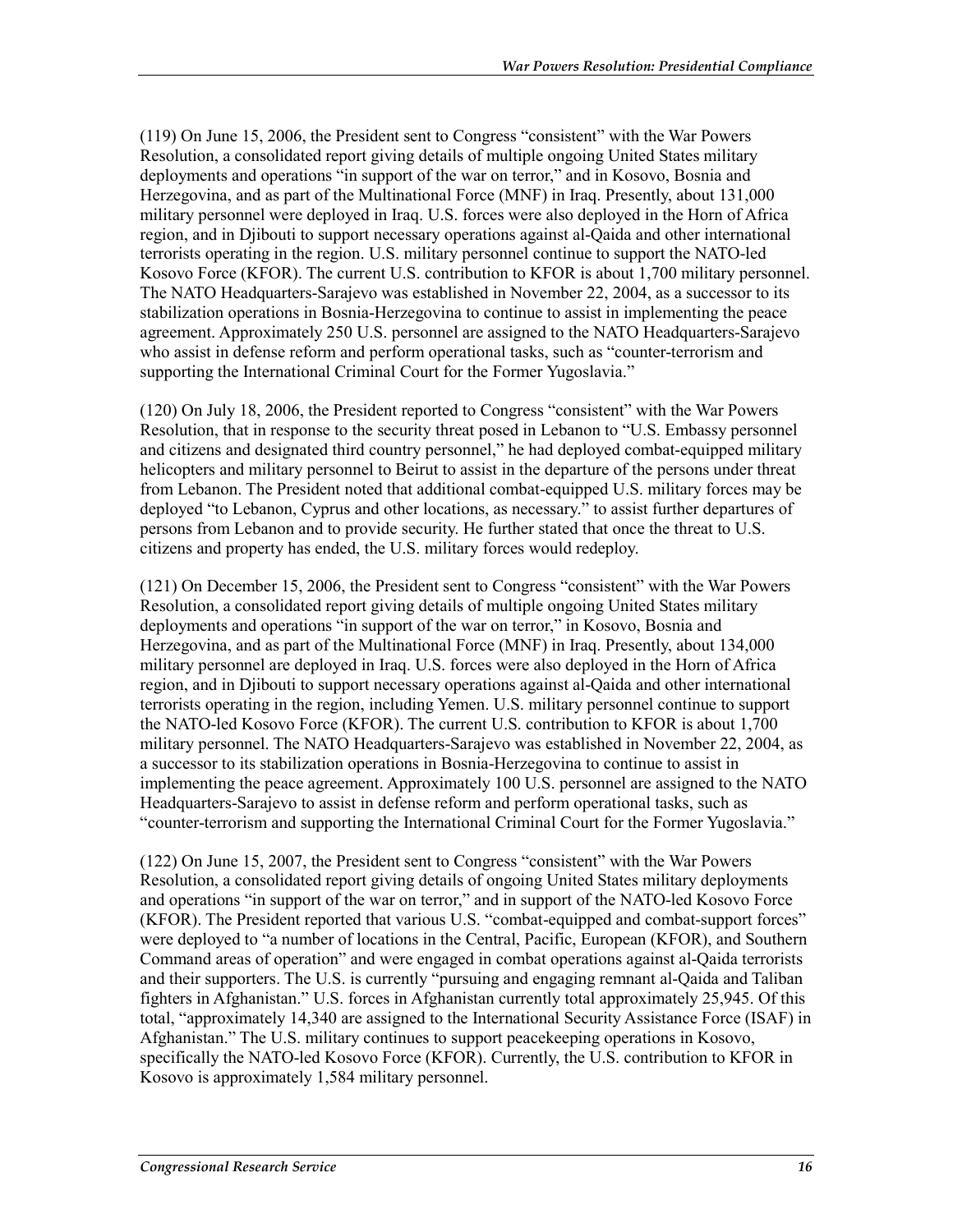(119) On June 15, 2006, the President sent to Congress "consistent" with the War Powers Resolution, a consolidated report giving details of multiple ongoing United States military deployments and operations "in support of the war on terror," and in Kosovo, Bosnia and Herzegovina, and as part of the Multinational Force (MNF) in Iraq. Presently, about 131,000 military personnel were deployed in Iraq. U.S. forces were also deployed in the Horn of Africa region, and in Djibouti to support necessary operations against al-Qaida and other international terrorists operating in the region. U.S. military personnel continue to support the NATO-led Kosovo Force (KFOR). The current U.S. contribution to KFOR is about 1,700 military personnel. The NATO Headquarters-Sarajevo was established in November 22, 2004, as a successor to its stabilization operations in Bosnia-Herzegovina to continue to assist in implementing the peace agreement. Approximately 250 U.S. personnel are assigned to the NATO Headquarters-Sarajevo who assist in defense reform and perform operational tasks, such as "counter-terrorism and supporting the International Criminal Court for the Former Yugoslavia."

(120) On July 18, 2006, the President reported to Congress "consistent" with the War Powers Resolution, that in response to the security threat posed in Lebanon to "U.S. Embassy personnel and citizens and designated third country personnel," he had deployed combat-equipped military helicopters and military personnel to Beirut to assist in the departure of the persons under threat from Lebanon. The President noted that additional combat-equipped U.S. military forces may be deployed "to Lebanon, Cyprus and other locations, as necessary." to assist further departures of persons from Lebanon and to provide security. He further stated that once the threat to U.S. citizens and property has ended, the U.S. military forces would redeploy.

(121) On December 15, 2006, the President sent to Congress "consistent" with the War Powers Resolution, a consolidated report giving details of multiple ongoing United States military deployments and operations "in support of the war on terror," in Kosovo, Bosnia and Herzegovina, and as part of the Multinational Force (MNF) in Iraq. Presently, about 134,000 military personnel are deployed in Iraq. U.S. forces were also deployed in the Horn of Africa region, and in Djibouti to support necessary operations against al-Qaida and other international terrorists operating in the region, including Yemen. U.S. military personnel continue to support the NATO-led Kosovo Force (KFOR). The current U.S. contribution to KFOR is about 1,700 military personnel. The NATO Headquarters-Sarajevo was established in November 22, 2004, as a successor to its stabilization operations in Bosnia-Herzegovina to continue to assist in implementing the peace agreement. Approximately 100 U.S. personnel are assigned to the NATO Headquarters-Sarajevo to assist in defense reform and perform operational tasks, such as "counter-terrorism and supporting the International Criminal Court for the Former Yugoslavia."

(122) On June 15, 2007, the President sent to Congress "consistent" with the War Powers Resolution, a consolidated report giving details of ongoing United States military deployments and operations "in support of the war on terror," and in support of the NATO-led Kosovo Force (KFOR). The President reported that various U.S. "combat-equipped and combat-support forces" were deployed to "a number of locations in the Central, Pacific, European (KFOR), and Southern Command areas of operation" and were engaged in combat operations against al-Qaida terrorists and their supporters. The U.S. is currently "pursuing and engaging remnant al-Qaida and Taliban fighters in Afghanistan." U.S. forces in Afghanistan currently total approximately 25,945. Of this total, "approximately 14,340 are assigned to the International Security Assistance Force (ISAF) in Afghanistan." The U.S. military continues to support peacekeeping operations in Kosovo, specifically the NATO-led Kosovo Force (KFOR). Currently, the U.S. contribution to KFOR in Kosovo is approximately 1,584 military personnel.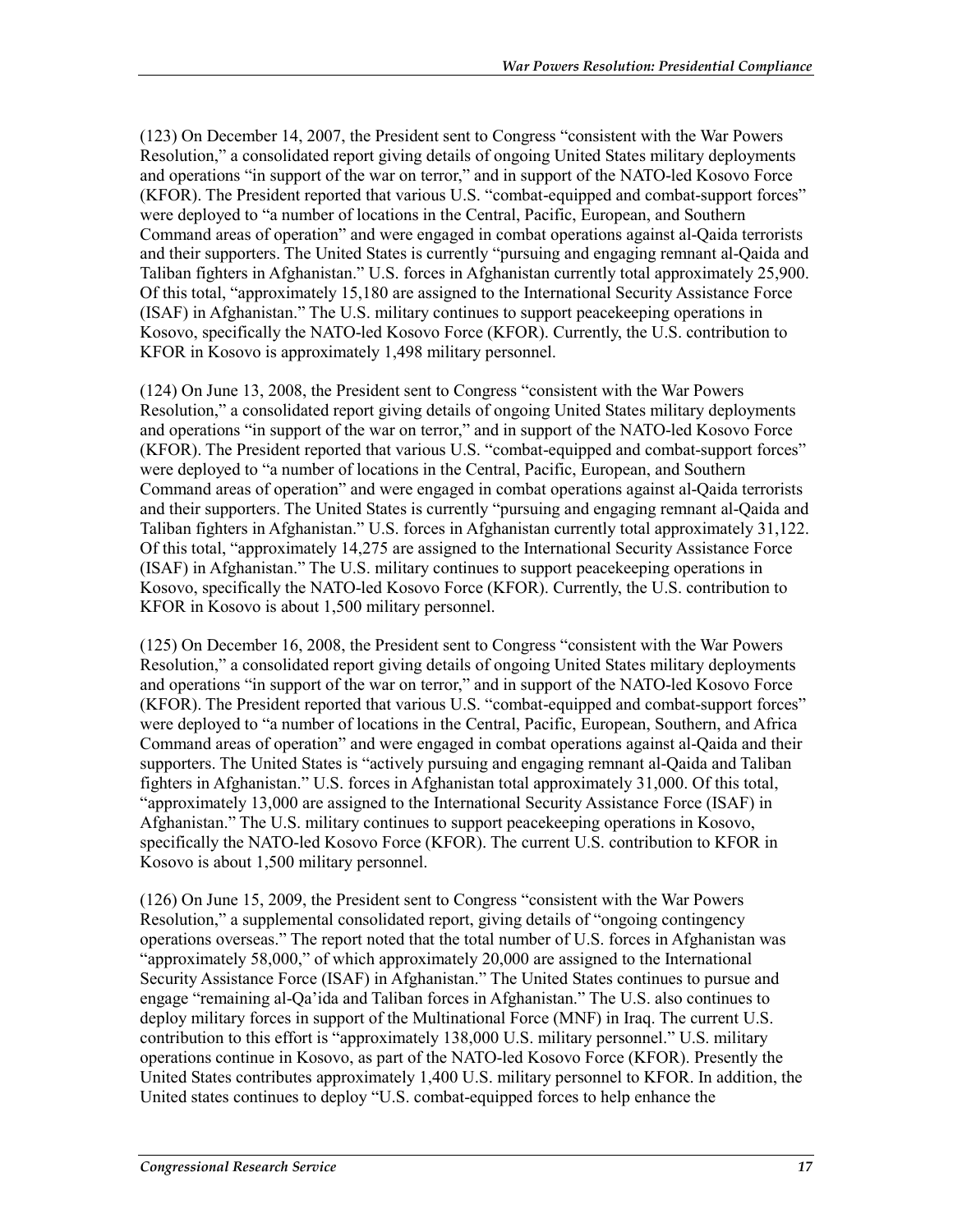(123) On December 14, 2007, the President sent to Congress "consistent with the War Powers Resolution," a consolidated report giving details of ongoing United States military deployments and operations "in support of the war on terror," and in support of the NATO-led Kosovo Force (KFOR). The President reported that various U.S. "combat-equipped and combat-support forces" were deployed to "a number of locations in the Central, Pacific, European, and Southern Command areas of operation" and were engaged in combat operations against al-Qaida terrorists and their supporters. The United States is currently "pursuing and engaging remnant al-Qaida and Taliban fighters in Afghanistan." U.S. forces in Afghanistan currently total approximately 25,900. Of this total, "approximately 15,180 are assigned to the International Security Assistance Force (ISAF) in Afghanistan." The U.S. military continues to support peacekeeping operations in Kosovo, specifically the NATO-led Kosovo Force (KFOR). Currently, the U.S. contribution to KFOR in Kosovo is approximately 1,498 military personnel.

(124) On June 13, 2008, the President sent to Congress "consistent with the War Powers Resolution," a consolidated report giving details of ongoing United States military deployments and operations "in support of the war on terror," and in support of the NATO-led Kosovo Force (KFOR). The President reported that various U.S. "combat-equipped and combat-support forces" were deployed to "a number of locations in the Central, Pacific, European, and Southern Command areas of operation" and were engaged in combat operations against al-Qaida terrorists and their supporters. The United States is currently "pursuing and engaging remnant al-Qaida and Taliban fighters in Afghanistan." U.S. forces in Afghanistan currently total approximately 31,122. Of this total, "approximately 14,275 are assigned to the International Security Assistance Force (ISAF) in Afghanistan." The U.S. military continues to support peacekeeping operations in Kosovo, specifically the NATO-led Kosovo Force (KFOR). Currently, the U.S. contribution to KFOR in Kosovo is about 1,500 military personnel.

(125) On December 16, 2008, the President sent to Congress "consistent with the War Powers Resolution," a consolidated report giving details of ongoing United States military deployments and operations "in support of the war on terror," and in support of the NATO-led Kosovo Force (KFOR). The President reported that various U.S. "combat-equipped and combat-support forces" were deployed to "a number of locations in the Central, Pacific, European, Southern, and Africa Command areas of operation" and were engaged in combat operations against al-Qaida and their supporters. The United States is "actively pursuing and engaging remnant al-Qaida and Taliban fighters in Afghanistan." U.S. forces in Afghanistan total approximately 31,000. Of this total, "approximately 13,000 are assigned to the International Security Assistance Force (ISAF) in Afghanistan." The U.S. military continues to support peacekeeping operations in Kosovo, specifically the NATO-led Kosovo Force (KFOR). The current U.S. contribution to KFOR in Kosovo is about 1,500 military personnel.

(126) On June 15, 2009, the President sent to Congress "consistent with the War Powers Resolution," a supplemental consolidated report, giving details of "ongoing contingency operations overseas." The report noted that the total number of U.S. forces in Afghanistan was "approximately 58,000," of which approximately 20,000 are assigned to the International Security Assistance Force (ISAF) in Afghanistan." The United States continues to pursue and engage "remaining al-Qa'ida and Taliban forces in Afghanistan." The U.S. also continues to deploy military forces in support of the Multinational Force (MNF) in Iraq. The current U.S. contribution to this effort is "approximately 138,000 U.S. military personnel." U.S. military operations continue in Kosovo, as part of the NATO-led Kosovo Force (KFOR). Presently the United States contributes approximately 1,400 U.S. military personnel to KFOR. In addition, the United states continues to deploy "U.S. combat-equipped forces to help enhance the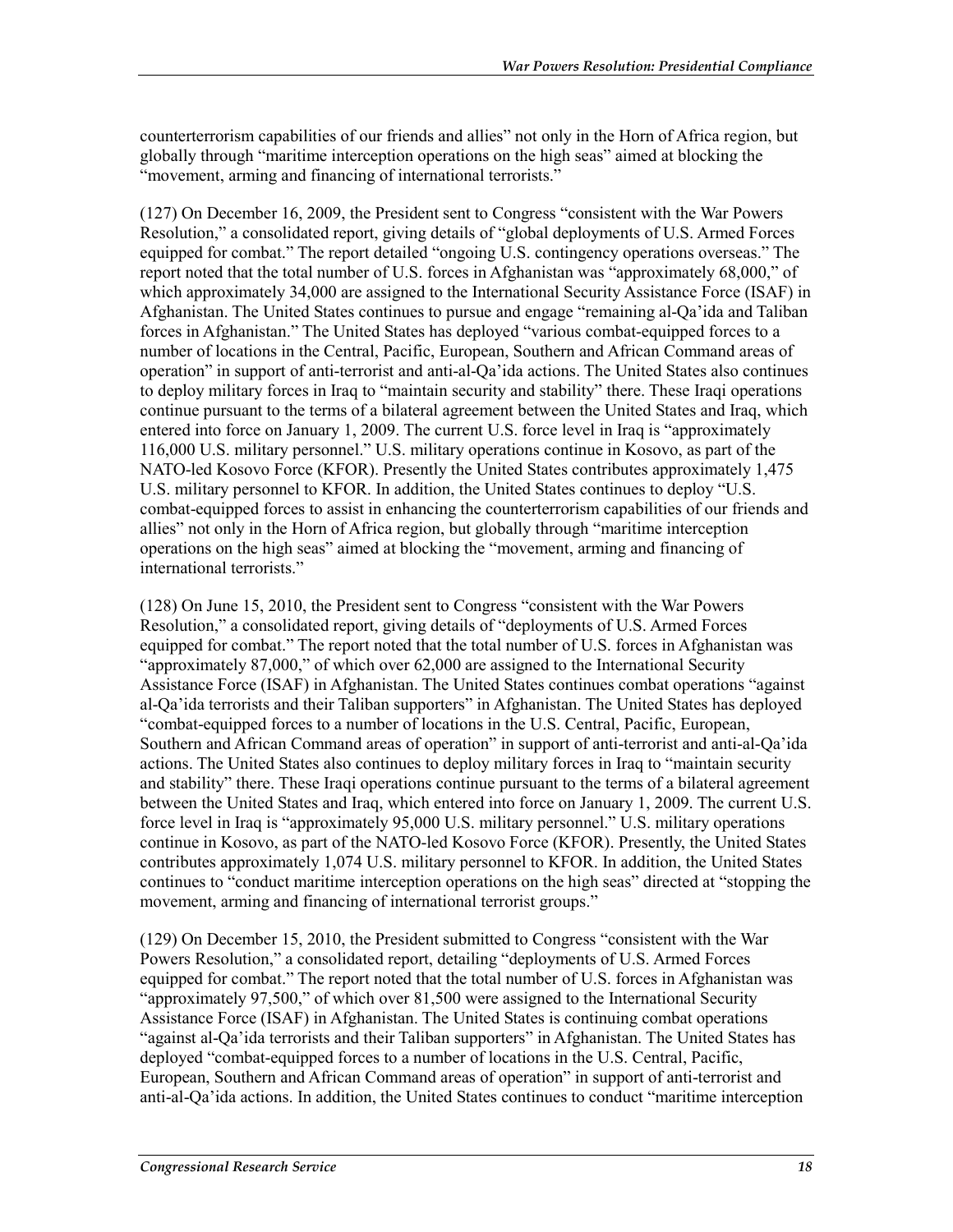counterterrorism capabilities of our friends and allies" not only in the Horn of Africa region, but globally through "maritime interception operations on the high seas" aimed at blocking the "movement, arming and financing of international terrorists."

(127) On December 16, 2009, the President sent to Congress "consistent with the War Powers Resolution," a consolidated report, giving details of "global deployments of U.S. Armed Forces equipped for combat." The report detailed "ongoing U.S. contingency operations overseas." The report noted that the total number of U.S. forces in Afghanistan was "approximately 68,000," of which approximately 34,000 are assigned to the International Security Assistance Force (ISAF) in Afghanistan. The United States continues to pursue and engage "remaining al-Qa'ida and Taliban forces in Afghanistan." The United States has deployed "various combat-equipped forces to a number of locations in the Central, Pacific, European, Southern and African Command areas of operation" in support of anti-terrorist and anti-al-Qa'ida actions. The United States also continues to deploy military forces in Iraq to "maintain security and stability" there. These Iraqi operations continue pursuant to the terms of a bilateral agreement between the United States and Iraq, which entered into force on January 1, 2009. The current U.S. force level in Iraq is "approximately 116,000 U.S. military personnel." U.S. military operations continue in Kosovo, as part of the NATO-led Kosovo Force (KFOR). Presently the United States contributes approximately 1,475 U.S. military personnel to KFOR. In addition, the United States continues to deploy "U.S. combat-equipped forces to assist in enhancing the counterterrorism capabilities of our friends and allies" not only in the Horn of Africa region, but globally through "maritime interception operations on the high seas" aimed at blocking the "movement, arming and financing of international terrorists."

(128) On June 15, 2010, the President sent to Congress "consistent with the War Powers Resolution," a consolidated report, giving details of "deployments of U.S. Armed Forces equipped for combat." The report noted that the total number of U.S. forces in Afghanistan was "approximately 87,000," of which over 62,000 are assigned to the International Security Assistance Force (ISAF) in Afghanistan. The United States continues combat operations "against al-Qa'ida terrorists and their Taliban supporters" in Afghanistan. The United States has deployed "combat-equipped forces to a number of locations in the U.S. Central, Pacific, European, Southern and African Command areas of operation" in support of anti-terrorist and anti-al-Qa'ida actions. The United States also continues to deploy military forces in Iraq to "maintain security and stability" there. These Iraqi operations continue pursuant to the terms of a bilateral agreement between the United States and Iraq, which entered into force on January 1, 2009. The current U.S. force level in Iraq is "approximately 95,000 U.S. military personnel." U.S. military operations continue in Kosovo, as part of the NATO-led Kosovo Force (KFOR). Presently, the United States contributes approximately 1,074 U.S. military personnel to KFOR. In addition, the United States continues to "conduct maritime interception operations on the high seas" directed at "stopping the movement, arming and financing of international terrorist groups."

(129) On December 15, 2010, the President submitted to Congress "consistent with the War Powers Resolution," a consolidated report, detailing "deployments of U.S. Armed Forces equipped for combat." The report noted that the total number of U.S. forces in Afghanistan was "approximately 97,500," of which over 81,500 were assigned to the International Security Assistance Force (ISAF) in Afghanistan. The United States is continuing combat operations "against al-Qa'ida terrorists and their Taliban supporters" in Afghanistan. The United States has deployed "combat-equipped forces to a number of locations in the U.S. Central, Pacific, European, Southern and African Command areas of operation" in support of anti-terrorist and anti-al-Qa'ida actions. In addition, the United States continues to conduct "maritime interception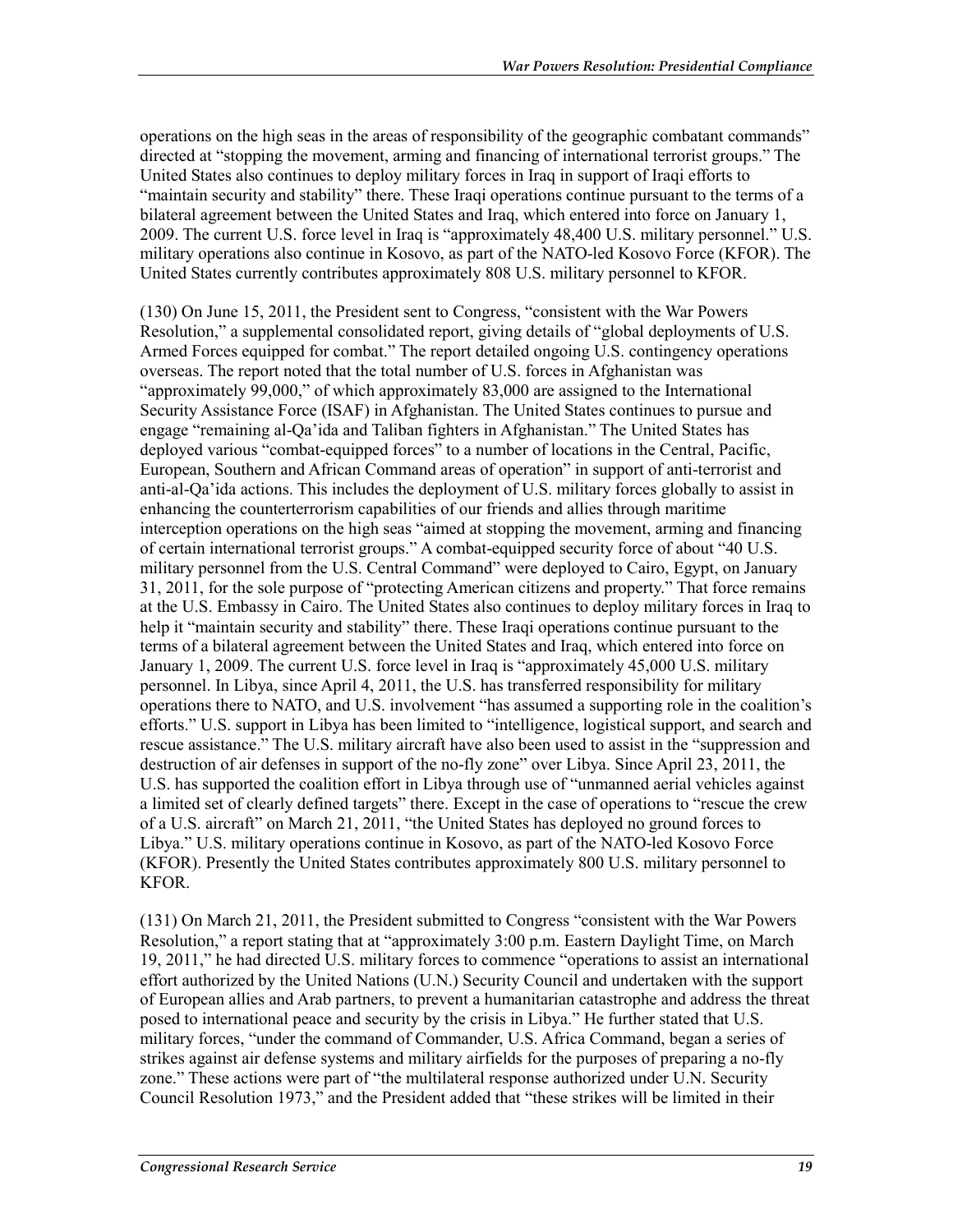operations on the high seas in the areas of responsibility of the geographic combatant commands" directed at "stopping the movement, arming and financing of international terrorist groups." The United States also continues to deploy military forces in Iraq in support of Iraqi efforts to "maintain security and stability" there. These Iraqi operations continue pursuant to the terms of a bilateral agreement between the United States and Iraq, which entered into force on January 1, 2009. The current U.S. force level in Iraq is "approximately 48,400 U.S. military personnel." U.S. military operations also continue in Kosovo, as part of the NATO-led Kosovo Force (KFOR). The United States currently contributes approximately 808 U.S. military personnel to KFOR.

(130) On June 15, 2011, the President sent to Congress, "consistent with the War Powers Resolution," a supplemental consolidated report, giving details of "global deployments of U.S. Armed Forces equipped for combat." The report detailed ongoing U.S. contingency operations overseas. The report noted that the total number of U.S. forces in Afghanistan was "approximately 99,000," of which approximately 83,000 are assigned to the International Security Assistance Force (ISAF) in Afghanistan. The United States continues to pursue and engage "remaining al-Qa'ida and Taliban fighters in Afghanistan." The United States has deployed various "combat-equipped forces" to a number of locations in the Central, Pacific, European, Southern and African Command areas of operation" in support of anti-terrorist and anti-al-Qa'ida actions. This includes the deployment of U.S. military forces globally to assist in enhancing the counterterrorism capabilities of our friends and allies through maritime interception operations on the high seas "aimed at stopping the movement, arming and financing of certain international terrorist groups." A combat-equipped security force of about "40 U.S. military personnel from the U.S. Central Command" were deployed to Cairo, Egypt, on January 31, 2011, for the sole purpose of "protecting American citizens and property." That force remains at the U.S. Embassy in Cairo. The United States also continues to deploy military forces in Iraq to help it "maintain security and stability" there. These Iraqi operations continue pursuant to the terms of a bilateral agreement between the United States and Iraq, which entered into force on January 1, 2009. The current U.S. force level in Iraq is "approximately 45,000 U.S. military personnel. In Libya, since April 4, 2011, the U.S. has transferred responsibility for military operations there to NATO, and U.S. involvement "has assumed a supporting role in the coalition's efforts." U.S. support in Libya has been limited to "intelligence, logistical support, and search and rescue assistance." The U.S. military aircraft have also been used to assist in the "suppression and destruction of air defenses in support of the no-fly zone" over Libya. Since April 23, 2011, the U.S. has supported the coalition effort in Libya through use of "unmanned aerial vehicles against a limited set of clearly defined targets" there. Except in the case of operations to "rescue the crew of a U.S. aircraft" on March 21, 2011, "the United States has deployed no ground forces to Libya." U.S. military operations continue in Kosovo, as part of the NATO-led Kosovo Force (KFOR). Presently the United States contributes approximately 800 U.S. military personnel to KFOR.

(131) On March 21, 2011, the President submitted to Congress "consistent with the War Powers Resolution," a report stating that at "approximately 3:00 p.m. Eastern Daylight Time, on March 19, 2011," he had directed U.S. military forces to commence "operations to assist an international effort authorized by the United Nations (U.N.) Security Council and undertaken with the support of European allies and Arab partners, to prevent a humanitarian catastrophe and address the threat posed to international peace and security by the crisis in Libya." He further stated that U.S. military forces, "under the command of Commander, U.S. Africa Command, began a series of strikes against air defense systems and military airfields for the purposes of preparing a no-fly zone." These actions were part of "the multilateral response authorized under U.N. Security Council Resolution 1973," and the President added that "these strikes will be limited in their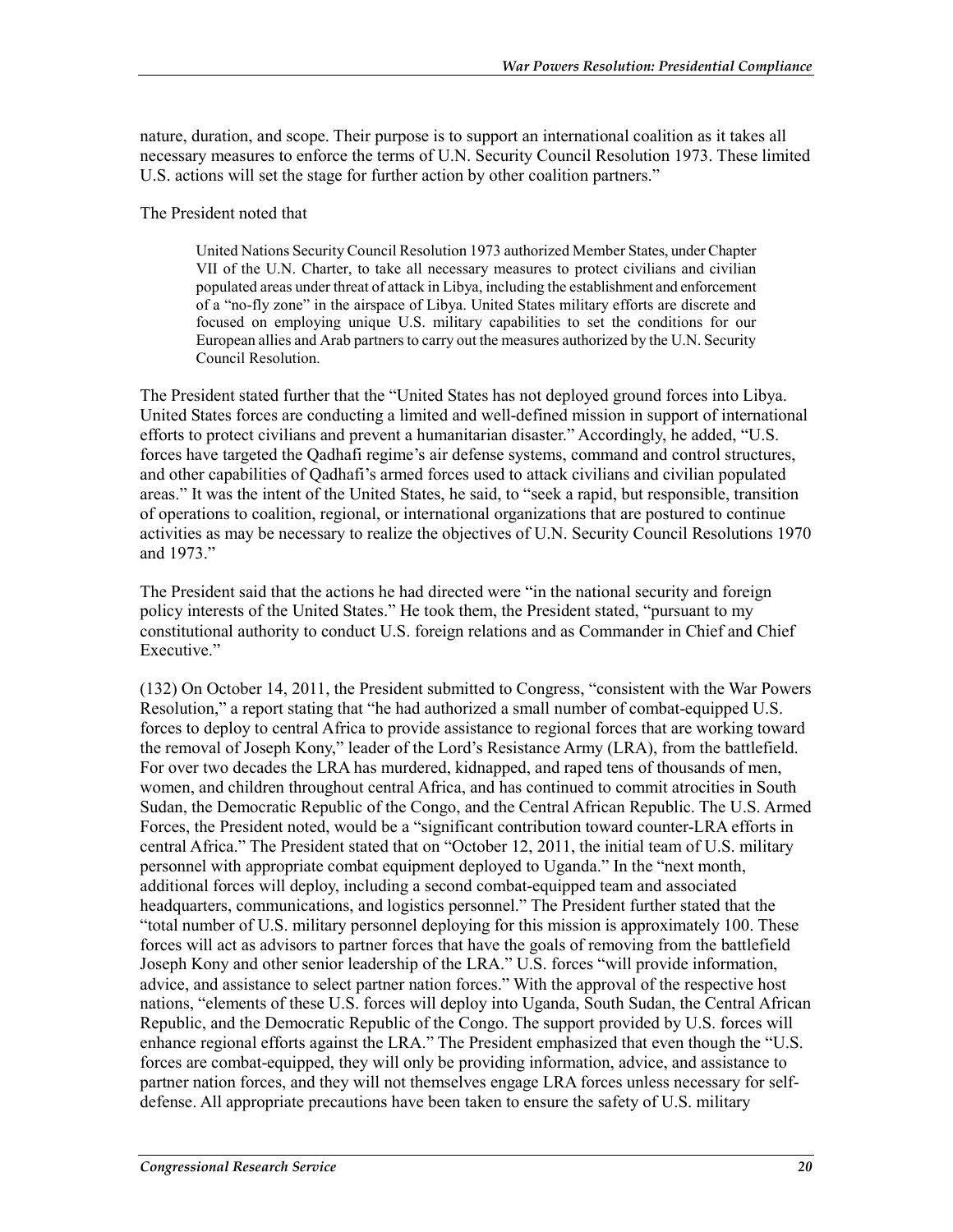nature, duration, and scope. Their purpose is to support an international coalition as it takes all necessary measures to enforce the terms of U.N. Security Council Resolution 1973. These limited U.S. actions will set the stage for further action by other coalition partners."

The President noted that

United Nations Security Council Resolution 1973 authorized Member States, under Chapter VII of the U.N. Charter, to take all necessary measures to protect civilians and civilian populated areas under threat of attack in Libya, including the establishment and enforcement of a "no-fly zone" in the airspace of Libya. United States military efforts are discrete and focused on employing unique U.S. military capabilities to set the conditions for our European allies and Arab partners to carry out the measures authorized by the U.N. Security Council Resolution.

The President stated further that the "United States has not deployed ground forces into Libya. United States forces are conducting a limited and well-defined mission in support of international efforts to protect civilians and prevent a humanitarian disaster." Accordingly, he added, "U.S. forces have targeted the Qadhafi regime's air defense systems, command and control structures, and other capabilities of Qadhafi's armed forces used to attack civilians and civilian populated areas." It was the intent of the United States, he said, to "seek a rapid, but responsible, transition of operations to coalition, regional, or international organizations that are postured to continue activities as may be necessary to realize the objectives of U.N. Security Council Resolutions 1970 and 1973."

The President said that the actions he had directed were "in the national security and foreign policy interests of the United States." He took them, the President stated, "pursuant to my constitutional authority to conduct U.S. foreign relations and as Commander in Chief and Chief Executive."

(132) On October 14, 2011, the President submitted to Congress, "consistent with the War Powers Resolution," a report stating that "he had authorized a small number of combat-equipped U.S. forces to deploy to central Africa to provide assistance to regional forces that are working toward the removal of Joseph Kony," leader of the Lord's Resistance Army (LRA), from the battlefield. For over two decades the LRA has murdered, kidnapped, and raped tens of thousands of men, women, and children throughout central Africa, and has continued to commit atrocities in South Sudan, the Democratic Republic of the Congo, and the Central African Republic. The U.S. Armed Forces, the President noted, would be a "significant contribution toward counter-LRA efforts in central Africa." The President stated that on "October 12, 2011, the initial team of U.S. military personnel with appropriate combat equipment deployed to Uganda." In the "next month, additional forces will deploy, including a second combat-equipped team and associated headquarters, communications, and logistics personnel." The President further stated that the "total number of U.S. military personnel deploying for this mission is approximately 100. These forces will act as advisors to partner forces that have the goals of removing from the battlefield Joseph Kony and other senior leadership of the LRA." U.S. forces "will provide information, advice, and assistance to select partner nation forces." With the approval of the respective host nations, "elements of these U.S. forces will deploy into Uganda, South Sudan, the Central African Republic, and the Democratic Republic of the Congo. The support provided by U.S. forces will enhance regional efforts against the LRA." The President emphasized that even though the "U.S. forces are combat-equipped, they will only be providing information, advice, and assistance to partner nation forces, and they will not themselves engage LRA forces unless necessary for selfdefense. All appropriate precautions have been taken to ensure the safety of U.S. military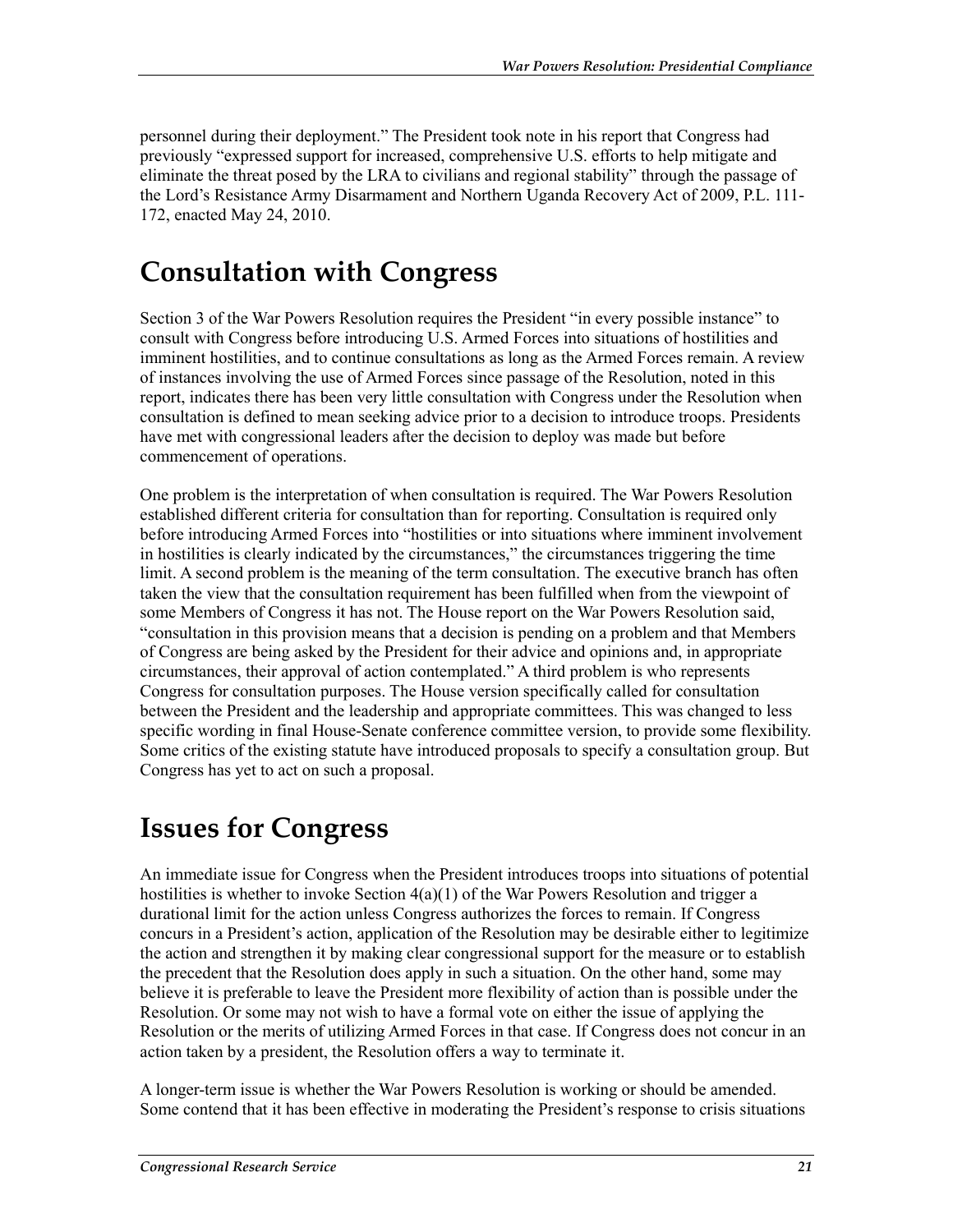personnel during their deployment." The President took note in his report that Congress had previously "expressed support for increased, comprehensive U.S. efforts to help mitigate and eliminate the threat posed by the LRA to civilians and regional stability" through the passage of the Lord's Resistance Army Disarmament and Northern Uganda Recovery Act of 2009, P.L. 111- 172, enacted May 24, 2010.

#### **Consultation with Congress**

Section 3 of the War Powers Resolution requires the President "in every possible instance" to consult with Congress before introducing U.S. Armed Forces into situations of hostilities and imminent hostilities, and to continue consultations as long as the Armed Forces remain. A review of instances involving the use of Armed Forces since passage of the Resolution, noted in this report, indicates there has been very little consultation with Congress under the Resolution when consultation is defined to mean seeking advice prior to a decision to introduce troops. Presidents have met with congressional leaders after the decision to deploy was made but before commencement of operations.

One problem is the interpretation of when consultation is required. The War Powers Resolution established different criteria for consultation than for reporting. Consultation is required only before introducing Armed Forces into "hostilities or into situations where imminent involvement in hostilities is clearly indicated by the circumstances," the circumstances triggering the time limit. A second problem is the meaning of the term consultation. The executive branch has often taken the view that the consultation requirement has been fulfilled when from the viewpoint of some Members of Congress it has not. The House report on the War Powers Resolution said, "consultation in this provision means that a decision is pending on a problem and that Members of Congress are being asked by the President for their advice and opinions and, in appropriate circumstances, their approval of action contemplated." A third problem is who represents Congress for consultation purposes. The House version specifically called for consultation between the President and the leadership and appropriate committees. This was changed to less specific wording in final House-Senate conference committee version, to provide some flexibility. Some critics of the existing statute have introduced proposals to specify a consultation group. But Congress has yet to act on such a proposal.

### **Issues for Congress**

An immediate issue for Congress when the President introduces troops into situations of potential hostilities is whether to invoke Section  $4(a)(1)$  of the War Powers Resolution and trigger a durational limit for the action unless Congress authorizes the forces to remain. If Congress concurs in a President's action, application of the Resolution may be desirable either to legitimize the action and strengthen it by making clear congressional support for the measure or to establish the precedent that the Resolution does apply in such a situation. On the other hand, some may believe it is preferable to leave the President more flexibility of action than is possible under the Resolution. Or some may not wish to have a formal vote on either the issue of applying the Resolution or the merits of utilizing Armed Forces in that case. If Congress does not concur in an action taken by a president, the Resolution offers a way to terminate it.

A longer-term issue is whether the War Powers Resolution is working or should be amended. Some contend that it has been effective in moderating the President's response to crisis situations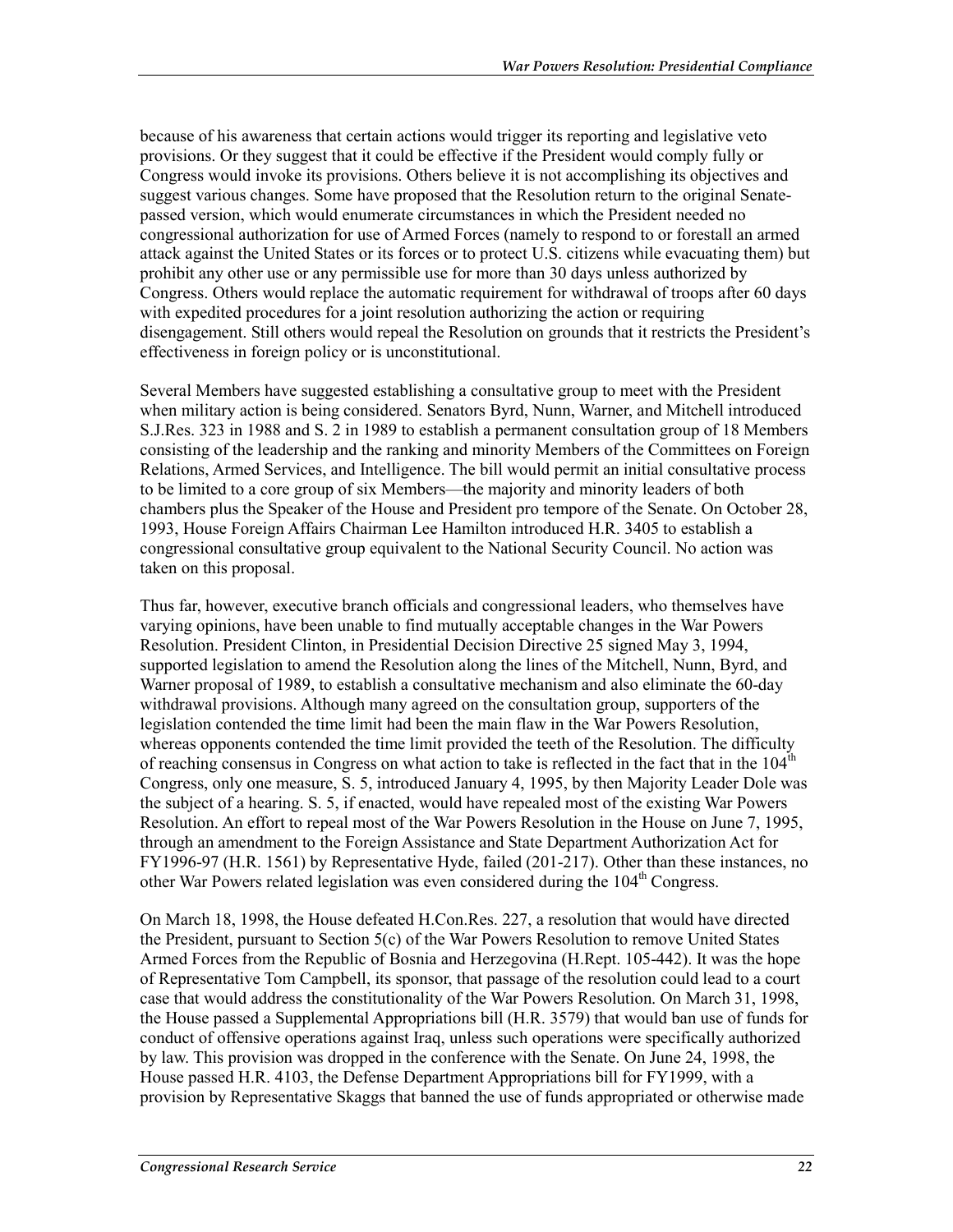because of his awareness that certain actions would trigger its reporting and legislative veto provisions. Or they suggest that it could be effective if the President would comply fully or Congress would invoke its provisions. Others believe it is not accomplishing its objectives and suggest various changes. Some have proposed that the Resolution return to the original Senatepassed version, which would enumerate circumstances in which the President needed no congressional authorization for use of Armed Forces (namely to respond to or forestall an armed attack against the United States or its forces or to protect U.S. citizens while evacuating them) but prohibit any other use or any permissible use for more than 30 days unless authorized by Congress. Others would replace the automatic requirement for withdrawal of troops after 60 days with expedited procedures for a joint resolution authorizing the action or requiring disengagement. Still others would repeal the Resolution on grounds that it restricts the President's effectiveness in foreign policy or is unconstitutional.

Several Members have suggested establishing a consultative group to meet with the President when military action is being considered. Senators Byrd, Nunn, Warner, and Mitchell introduced S.J.Res. 323 in 1988 and S. 2 in 1989 to establish a permanent consultation group of 18 Members consisting of the leadership and the ranking and minority Members of the Committees on Foreign Relations, Armed Services, and Intelligence. The bill would permit an initial consultative process to be limited to a core group of six Members—the majority and minority leaders of both chambers plus the Speaker of the House and President pro tempore of the Senate. On October 28, 1993, House Foreign Affairs Chairman Lee Hamilton introduced H.R. 3405 to establish a congressional consultative group equivalent to the National Security Council. No action was taken on this proposal.

Thus far, however, executive branch officials and congressional leaders, who themselves have varying opinions, have been unable to find mutually acceptable changes in the War Powers Resolution. President Clinton, in Presidential Decision Directive 25 signed May 3, 1994, supported legislation to amend the Resolution along the lines of the Mitchell, Nunn, Byrd, and Warner proposal of 1989, to establish a consultative mechanism and also eliminate the 60-day withdrawal provisions. Although many agreed on the consultation group, supporters of the legislation contended the time limit had been the main flaw in the War Powers Resolution, whereas opponents contended the time limit provided the teeth of the Resolution. The difficulty of reaching consensus in Congress on what action to take is reflected in the fact that in the  $104<sup>th</sup>$ Congress, only one measure, S. 5, introduced January 4, 1995, by then Majority Leader Dole was the subject of a hearing. S. 5, if enacted, would have repealed most of the existing War Powers Resolution. An effort to repeal most of the War Powers Resolution in the House on June 7, 1995, through an amendment to the Foreign Assistance and State Department Authorization Act for FY1996-97 (H.R. 1561) by Representative Hyde, failed (201-217). Other than these instances, no other War Powers related legislation was even considered during the 104<sup>th</sup> Congress.

On March 18, 1998, the House defeated H.Con.Res. 227, a resolution that would have directed the President, pursuant to Section 5(c) of the War Powers Resolution to remove United States Armed Forces from the Republic of Bosnia and Herzegovina (H.Rept. 105-442). It was the hope of Representative Tom Campbell, its sponsor, that passage of the resolution could lead to a court case that would address the constitutionality of the War Powers Resolution. On March 31, 1998, the House passed a Supplemental Appropriations bill (H.R. 3579) that would ban use of funds for conduct of offensive operations against Iraq, unless such operations were specifically authorized by law. This provision was dropped in the conference with the Senate. On June 24, 1998, the House passed H.R. 4103, the Defense Department Appropriations bill for FY1999, with a provision by Representative Skaggs that banned the use of funds appropriated or otherwise made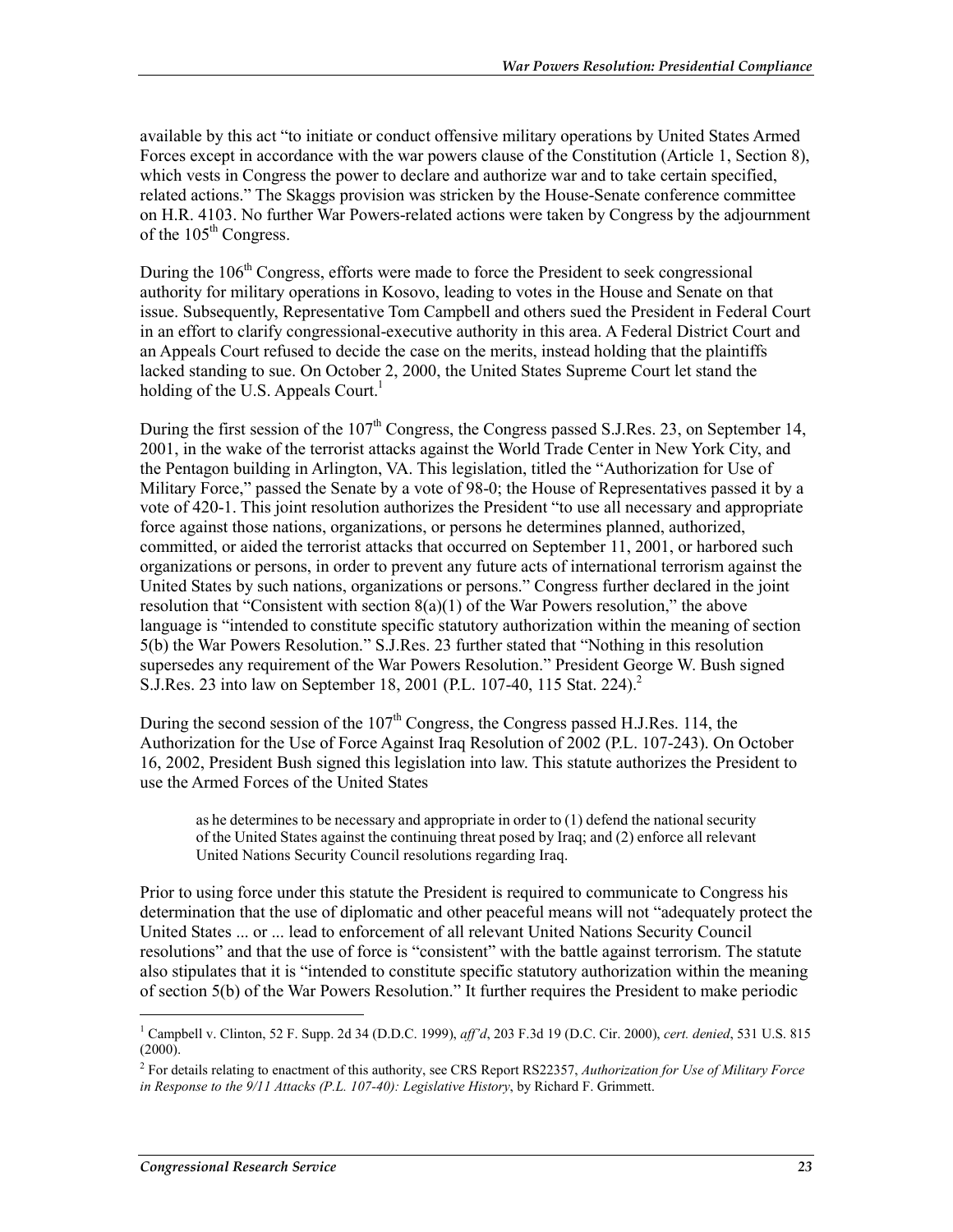available by this act "to initiate or conduct offensive military operations by United States Armed Forces except in accordance with the war powers clause of the Constitution (Article 1, Section 8), which vests in Congress the power to declare and authorize war and to take certain specified, related actions." The Skaggs provision was stricken by the House-Senate conference committee on H.R. 4103. No further War Powers-related actions were taken by Congress by the adjournment of the 105<sup>th</sup> Congress.

During the  $106<sup>th</sup>$  Congress, efforts were made to force the President to seek congressional authority for military operations in Kosovo, leading to votes in the House and Senate on that issue. Subsequently, Representative Tom Campbell and others sued the President in Federal Court in an effort to clarify congressional-executive authority in this area. A Federal District Court and an Appeals Court refused to decide the case on the merits, instead holding that the plaintiffs lacked standing to sue. On October 2, 2000, the United States Supreme Court let stand the holding of the U.S. Appeals Court.<sup>1</sup>

During the first session of the  $107<sup>th</sup>$  Congress, the Congress passed S.J.Res. 23, on September 14, 2001, in the wake of the terrorist attacks against the World Trade Center in New York City, and the Pentagon building in Arlington, VA. This legislation, titled the "Authorization for Use of Military Force," passed the Senate by a vote of 98-0; the House of Representatives passed it by a vote of 420-1. This joint resolution authorizes the President "to use all necessary and appropriate force against those nations, organizations, or persons he determines planned, authorized, committed, or aided the terrorist attacks that occurred on September 11, 2001, or harbored such organizations or persons, in order to prevent any future acts of international terrorism against the United States by such nations, organizations or persons." Congress further declared in the joint resolution that "Consistent with section  $8(a)(1)$  of the War Powers resolution," the above language is "intended to constitute specific statutory authorization within the meaning of section 5(b) the War Powers Resolution." S.J.Res. 23 further stated that "Nothing in this resolution supersedes any requirement of the War Powers Resolution." President George W. Bush signed S.J.Res. 23 into law on September 18, 2001 (P.L. 107-40, 115 Stat. 224).<sup>2</sup>

During the second session of the  $107<sup>th</sup>$  Congress, the Congress passed H.J.Res. 114, the Authorization for the Use of Force Against Iraq Resolution of 2002 (P.L. 107-243). On October 16, 2002, President Bush signed this legislation into law. This statute authorizes the President to use the Armed Forces of the United States

as he determines to be necessary and appropriate in order to (1) defend the national security of the United States against the continuing threat posed by Iraq; and (2) enforce all relevant United Nations Security Council resolutions regarding Iraq.

Prior to using force under this statute the President is required to communicate to Congress his determination that the use of diplomatic and other peaceful means will not "adequately protect the United States ... or ... lead to enforcement of all relevant United Nations Security Council resolutions" and that the use of force is "consistent" with the battle against terrorism. The statute also stipulates that it is "intended to constitute specific statutory authorization within the meaning of section 5(b) of the War Powers Resolution." It further requires the President to make periodic

1

<sup>1</sup> Campbell v. Clinton, 52 F. Supp. 2d 34 (D.D.C. 1999), *aff'd*, 203 F.3d 19 (D.C. Cir. 2000), *cert. denied*, 531 U.S. 815 (2000).

<sup>2</sup> For details relating to enactment of this authority, see CRS Report RS22357, *Authorization for Use of Military Force in Response to the 9/11 Attacks (P.L. 107-40): Legislative History*, by Richard F. Grimmett.